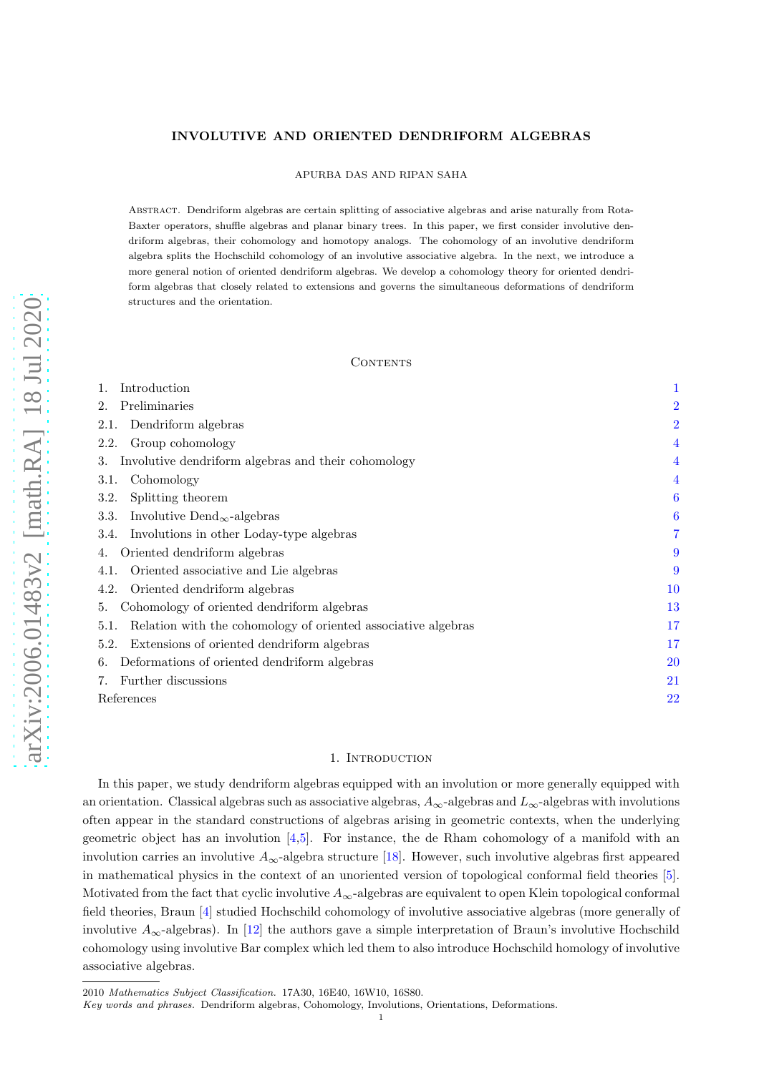# INVOLUTIVE AND ORIENTED DENDRIFORM ALGEBRAS

APURBA DAS AND RIPAN SAHA

Abstract. Dendriform algebras are certain splitting of associative algebras and arise naturally from Rota-Baxter operators, shuffle algebras and planar binary trees. In this paper, we first consider involutive dendriform algebras, their cohomology and homotopy analogs. The cohomology of an involutive dendriform algebra splits the Hochschild cohomology of an involutive associative algebra. In the next, we introduce a more general notion of oriented dendriform algebras. We develop a cohomology theory for oriented dendriform algebras that closely related to extensions and governs the simultaneous deformations of dendriform structures and the orientation.

### CONTENTS

| Introduction                                                          |                |
|-----------------------------------------------------------------------|----------------|
| Preliminaries<br>2.                                                   | $\overline{2}$ |
| Dendriform algebras<br>2.1.                                           | $\overline{2}$ |
| Group cohomology<br>2.2.                                              | 4              |
| Involutive dendriform algebras and their cohomology<br>3.             | 4              |
| Cohomology<br>3.1.                                                    | 4              |
| Splitting theorem<br>3.2.                                             | 6              |
| Involutive Dend <sub><math>\infty</math></sub> -algebras<br>3.3.      | 6              |
| Involutions in other Loday-type algebras<br>3.4.                      | 7              |
| Oriented dendriform algebras<br>4.                                    | 9              |
| Oriented associative and Lie algebras<br>4.1.                         | 9              |
| Oriented dendriform algebras<br>4.2.                                  | $10\,$         |
| Cohomology of oriented dendriform algebras<br>5.                      |                |
| Relation with the cohomology of oriented associative algebras<br>5.1. | 17             |
| Extensions of oriented dendriform algebras<br>5.2.                    | 17             |
| Deformations of oriented dendriform algebras<br>6.                    |                |
| Further discussions                                                   |                |
| References                                                            |                |

## 1. INTRODUCTION

<span id="page-0-0"></span>In this paper, we study dendriform algebras equipped with an involution or more generally equipped with an orientation. Classical algebras such as associative algebras,  $A_{\infty}$ -algebras and  $L_{\infty}$ -algebras with involutions often appear in the standard constructions of algebras arising in geometric contexts, when the underlying geometric object has an involution [\[4](#page-21-1)[,5\]](#page-21-2). For instance, the de Rham cohomology of a manifold with an involution carries an involutive  $A_{\infty}$ -algebra structure [\[18\]](#page-21-3). However, such involutive algebras first appeared in mathematical physics in the context of an unoriented version of topological conformal field theories [\[5\]](#page-21-2). Motivated from the fact that cyclic involutive  $A_{\infty}$ -algebras are equivalent to open Klein topological conformal field theories, Braun [\[4\]](#page-21-1) studied Hochschild cohomology of involutive associative algebras (more generally of involutive  $A_{\infty}$ -algebras). In [\[12\]](#page-21-4) the authors gave a simple interpretation of Braun's involutive Hochschild cohomology using involutive Bar complex which led them to also introduce Hochschild homology of involutive associative algebras.

<sup>2010</sup> *Mathematics Subject Classification.* 17A30, 16E40, 16W10, 16S80.

*Key words and phrases.* Dendriform algebras, Cohomology, Involutions, Orientations, Deformations.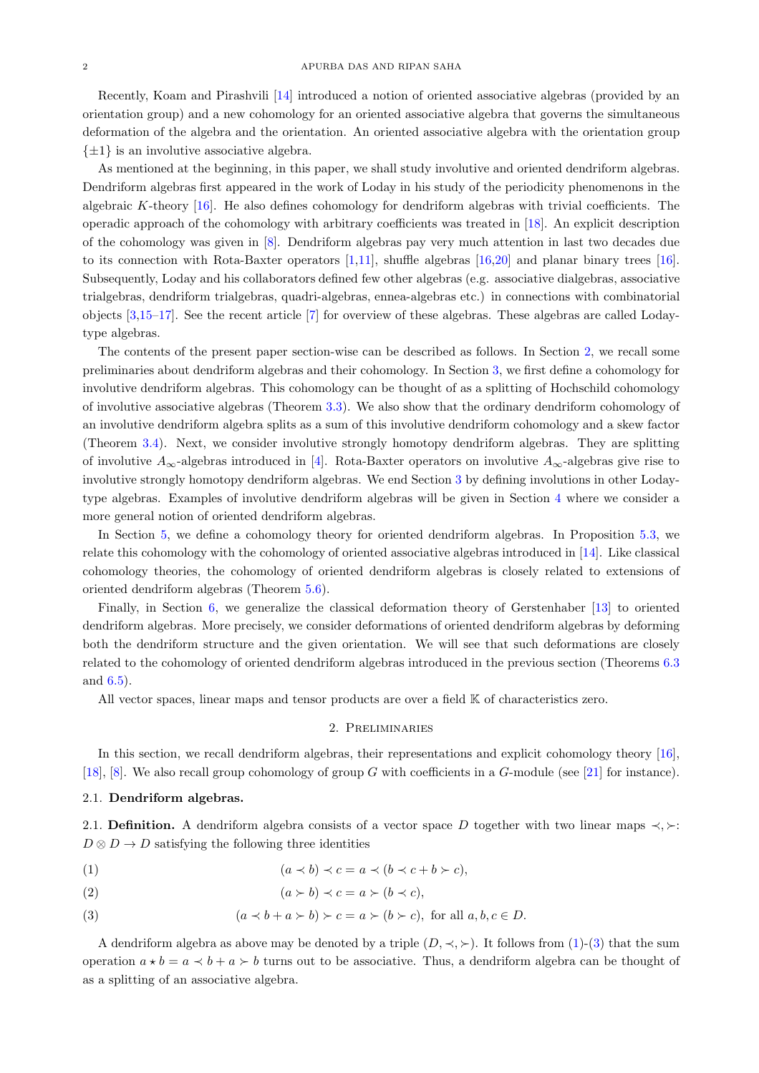Recently, Koam and Pirashvili [\[14\]](#page-21-5) introduced a notion of oriented associative algebras (provided by an orientation group) and a new cohomology for an oriented associative algebra that governs the simultaneous deformation of the algebra and the orientation. An oriented associative algebra with the orientation group  $\{\pm 1\}$  is an involutive associative algebra.

As mentioned at the beginning, in this paper, we shall study involutive and oriented dendriform algebras. Dendriform algebras first appeared in the work of Loday in his study of the periodicity phenomenons in the algebraic K-theory  $[16]$ . He also defines cohomology for dendriform algebras with trivial coefficients. The operadic approach of the cohomology with arbitrary coefficients was treated in [\[18\]](#page-21-3). An explicit description of the cohomology was given in [\[8\]](#page-21-7). Dendriform algebras pay very much attention in last two decades due to its connection with Rota-Baxter operators [\[1](#page-21-8)[,11\]](#page-21-9), shuffle algebras [\[16](#page-21-6)[,20\]](#page-21-10) and planar binary trees [\[16\]](#page-21-6). Subsequently, Loday and his collaborators defined few other algebras (e.g. associative dialgebras, associative trialgebras, dendriform trialgebras, quadri-algebras, ennea-algebras etc.) in connections with combinatorial objects [\[3](#page-21-11)[,15](#page-21-12)[–17\]](#page-21-13). See the recent article [\[7\]](#page-21-14) for overview of these algebras. These algebras are called Lodaytype algebras.

The contents of the present paper section-wise can be described as follows. In Section [2,](#page-1-0) we recall some preliminaries about dendriform algebras and their cohomology. In Section [3,](#page-3-1) we first define a cohomology for involutive dendriform algebras. This cohomology can be thought of as a splitting of Hochschild cohomology of involutive associative algebras (Theorem [3.3\)](#page-4-0). We also show that the ordinary dendriform cohomology of an involutive dendriform algebra splits as a sum of this involutive dendriform cohomology and a skew factor (Theorem [3.4\)](#page-5-2). Next, we consider involutive strongly homotopy dendriform algebras. They are splitting of involutive  $A_{\infty}$ -algebras introduced in [\[4\]](#page-21-1). Rota-Baxter operators on involutive  $A_{\infty}$ -algebras give rise to involutive strongly homotopy dendriform algebras. We end Section [3](#page-3-1) by defining involutions in other Lodaytype algebras. Examples of involutive dendriform algebras will be given in Section [4](#page-8-0) where we consider a more general notion of oriented dendriform algebras.

In Section [5,](#page-12-0) we define a cohomology theory for oriented dendriform algebras. In Proposition [5.3,](#page-16-2) we relate this cohomology with the cohomology of oriented associative algebras introduced in [\[14\]](#page-21-5). Like classical cohomology theories, the cohomology of oriented dendriform algebras is closely related to extensions of oriented dendriform algebras (Theorem [5.6\)](#page-17-0).

Finally, in Section [6,](#page-19-0) we generalize the classical deformation theory of Gerstenhaber [\[13\]](#page-21-15) to oriented dendriform algebras. More precisely, we consider deformations of oriented dendriform algebras by deforming both the dendriform structure and the given orientation. We will see that such deformations are closely related to the cohomology of oriented dendriform algebras introduced in the previous section (Theorems [6.3](#page-19-1) and [6.5\)](#page-20-1).

<span id="page-1-0"></span>All vector spaces, linear maps and tensor products are over a field  $K$  of characteristics zero.

## 2. Preliminaries

In this section, we recall dendriform algebras, their representations and explicit cohomology theory [\[16\]](#page-21-6), [\[18\]](#page-21-3), [\[8\]](#page-21-7). We also recall group cohomology of group G with coefficients in a G-module (see [\[21\]](#page-21-16) for instance).

#### <span id="page-1-1"></span>2.1. Dendriform algebras.

2.1. **Definition.** A dendriform algebra consists of a vector space D together with two linear maps  $\prec, \succ$ :  $D \otimes D \rightarrow D$  satisfying the following three identities

<span id="page-1-2"></span>
$$
(1) \qquad (a \prec b) \prec c = a \prec (b \prec c + b \succ c),
$$

$$
(2) \qquad (a \succ b) \prec c = a \succ (b \prec c),
$$

<span id="page-1-3"></span>(3) 
$$
(a \prec b + a \succ b) \succ c = a \succ (b \succ c), \text{ for all } a, b, c \in D.
$$

A dendriform algebra as above may be denoted by a triple  $(D, \prec, \succ)$ . It follows from  $(1)-(3)$  $(1)-(3)$  that the sum operation  $a \star b = a \prec b + a \succ b$  turns out to be associative. Thus, a dendriform algebra can be thought of as a splitting of an associative algebra.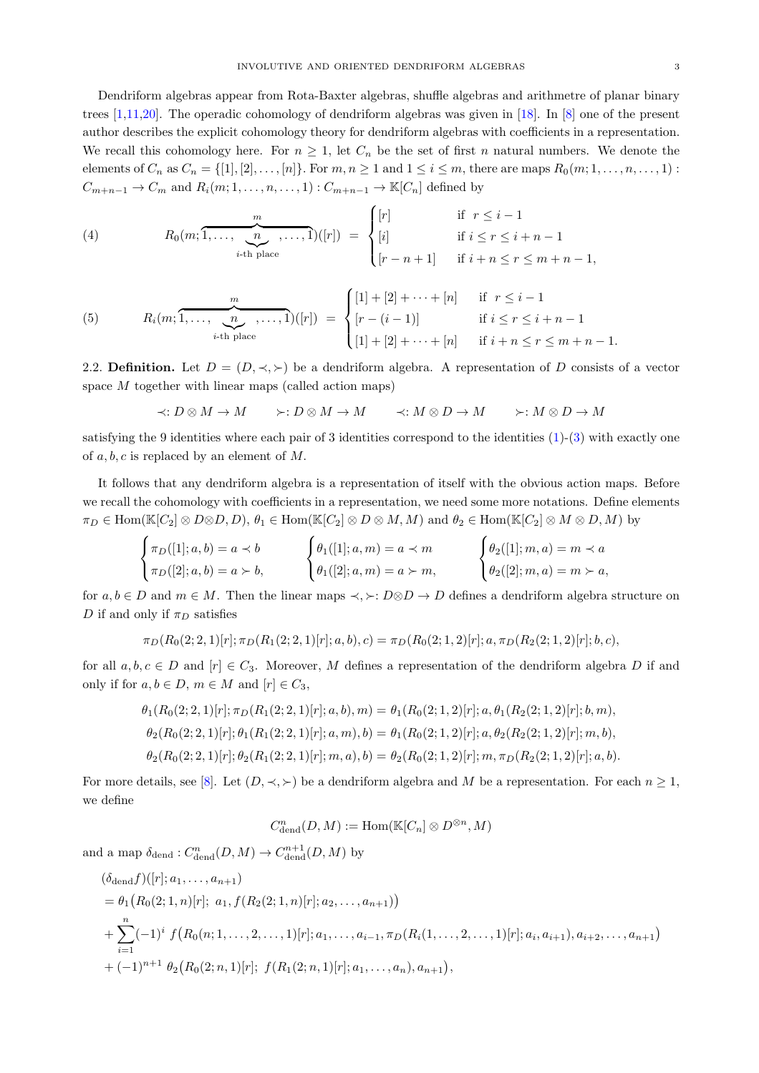Dendriform algebras appear from Rota-Baxter algebras, shuffle algebras and arithmetre of planar binary trees [\[1](#page-21-8)[,11](#page-21-9)[,20\]](#page-21-10). The operadic cohomology of dendriform algebras was given in [\[18\]](#page-21-3). In [\[8\]](#page-21-7) one of the present author describes the explicit cohomology theory for dendriform algebras with coefficients in a representation. We recall this cohomology here. For  $n \geq 1$ , let  $C_n$  be the set of first n natural numbers. We denote the elements of  $C_n$  as  $C_n = \{ [1], [2], \ldots, [n] \}$ . For  $m, n \ge 1$  and  $1 \le i \le m$ , there are maps  $R_0(m; 1, \ldots, n, \ldots, 1)$ :  $C_{m+n-1} \to C_m$  and  $R_i(m; 1, \ldots, n, \ldots, 1): C_{m+n-1} \to \mathbb{K}[C_n]$  defined by

<span id="page-2-0"></span>(4) 
$$
R_0(m; \overbrace{1,\ldots,\underbrace{n}_{i\text{-th place}}^m,\ldots,1})([r]) = \begin{cases} [r] & \text{if } r \leq i-1 \\ [i] & \text{if } i \leq r \leq i+n-1 \\ [r-n+1] & \text{if } i+n \leq r \leq m+n-1, \end{cases}
$$

<span id="page-2-1"></span>(5) 
$$
R_i(m; \overbrace{1, \ldots, n, \ldots, 1}^{m}, \ldots, 1)([r]) = \begin{cases} [1] + [2] + \cdots + [n] & \text{if } r \leq i - 1 \\ [r - (i - 1)] & \text{if } i \leq r \leq i + n - 1 \\ [1] + [2] + \cdots + [n] & \text{if } i + n \leq r \leq m + n - 1. \end{cases}
$$

2.2. Definition. Let  $D = (D, \prec, \succ)$  be a dendriform algebra. A representation of D consists of a vector space M together with linear maps (called action maps)

$$
\prec : D \otimes M \rightarrow M \qquad \succ : D \otimes M \rightarrow M \qquad \prec : M \otimes D \rightarrow M \qquad \succ : M \otimes D \rightarrow M
$$

satisfying the 9 identities where each pair of 3 identities correspond to the identities  $(1)-(3)$  $(1)-(3)$  with exactly one of  $a, b, c$  is replaced by an element of M.

It follows that any dendriform algebra is a representation of itself with the obvious action maps. Before we recall the cohomology with coefficients in a representation, we need some more notations. Define elements  $\pi_D \in \text{Hom}(\mathbb{K}[C_2] \otimes D \otimes D, D), \theta_1 \in \text{Hom}(\mathbb{K}[C_2] \otimes D \otimes M, M)$  and  $\theta_2 \in \text{Hom}(\mathbb{K}[C_2] \otimes M \otimes D, M)$  by

$$
\begin{cases} \pi_D([1];a,b)=a \prec b \\ \pi_D([2];a,b)=a \succ b, \end{cases} \qquad \begin{cases} \theta_1([1];a,m)=a \prec m \\ \theta_1([2];a,m)=a \succ m, \end{cases} \qquad \begin{cases} \theta_2([1];m,a)=m \prec a \\ \theta_2([2];m,a)=m \succ a, \end{cases}
$$

for  $a, b \in D$  and  $m \in M$ . Then the linear maps  $\prec, \succ: D \otimes D \to D$  defines a dendriform algebra structure on D if and only if  $\pi_D$  satisfies

$$
\pi_D(R_0(2;2,1)[r];\pi_D(R_1(2;2,1)[r];a,b),c)=\pi_D(R_0(2;1,2)[r];a,\pi_D(R_2(2;1,2)[r];b,c),
$$

for all  $a, b, c \in D$  and  $[r] \in C_3$ . Moreover, M defines a representation of the dendriform algebra D if and only if for  $a, b \in D$ ,  $m \in M$  and  $[r] \in C_3$ ,

$$
\theta_1(R_0(2; 2, 1)[r]; \pi_D(R_1(2; 2, 1)[r]; a, b), m) = \theta_1(R_0(2; 1, 2)[r]; a, \theta_1(R_2(2; 1, 2)[r]; b, m),
$$
  
\n
$$
\theta_2(R_0(2; 2, 1)[r]; \theta_1(R_1(2; 2, 1)[r]; a, m), b) = \theta_1(R_0(2; 1, 2)[r]; a, \theta_2(R_2(2; 1, 2)[r]; m, b),
$$
  
\n
$$
\theta_2(R_0(2; 2, 1)[r]; \theta_2(R_1(2; 2, 1)[r]; m, a), b) = \theta_2(R_0(2; 1, 2)[r]; m, \pi_D(R_2(2; 1, 2)[r]; a, b).
$$

For more details, see [\[8\]](#page-21-7). Let  $(D, \prec, \succ)$  be a dendriform algebra and M be a representation. For each  $n \geq 1$ , we define

$$
C^n_{\mathrm{dend}}(D, M) := \mathrm{Hom}(\mathbb{K}[C_n] \otimes D^{\otimes n}, M)
$$

and a map  $\delta_{\text{dend}}: C_{\text{dend}}^n(D, M) \to C_{\text{dend}}^{n+1}(D, M)$  by

$$
(\delta_{\text{dend}} f)([r]; a_1, \ldots, a_{n+1})
$$
  
=  $\theta_1 (R_0(2; 1, n)[r]; a_1, f(R_2(2; 1, n)[r]; a_2, \ldots, a_{n+1}))$   
+  $\sum_{i=1}^n (-1)^i f(R_0(n; 1, \ldots, 2, \ldots, 1)[r]; a_1, \ldots, a_{i-1}, \pi_D(R_i(1, \ldots, 2, \ldots, 1)[r]; a_i, a_{i+1}), a_{i+2}, \ldots, a_{n+1})$   
+  $(-1)^{n+1} \theta_2 (R_0(2; n, 1)[r]; f(R_1(2; n, 1)[r]; a_1, \ldots, a_n), a_{n+1}),$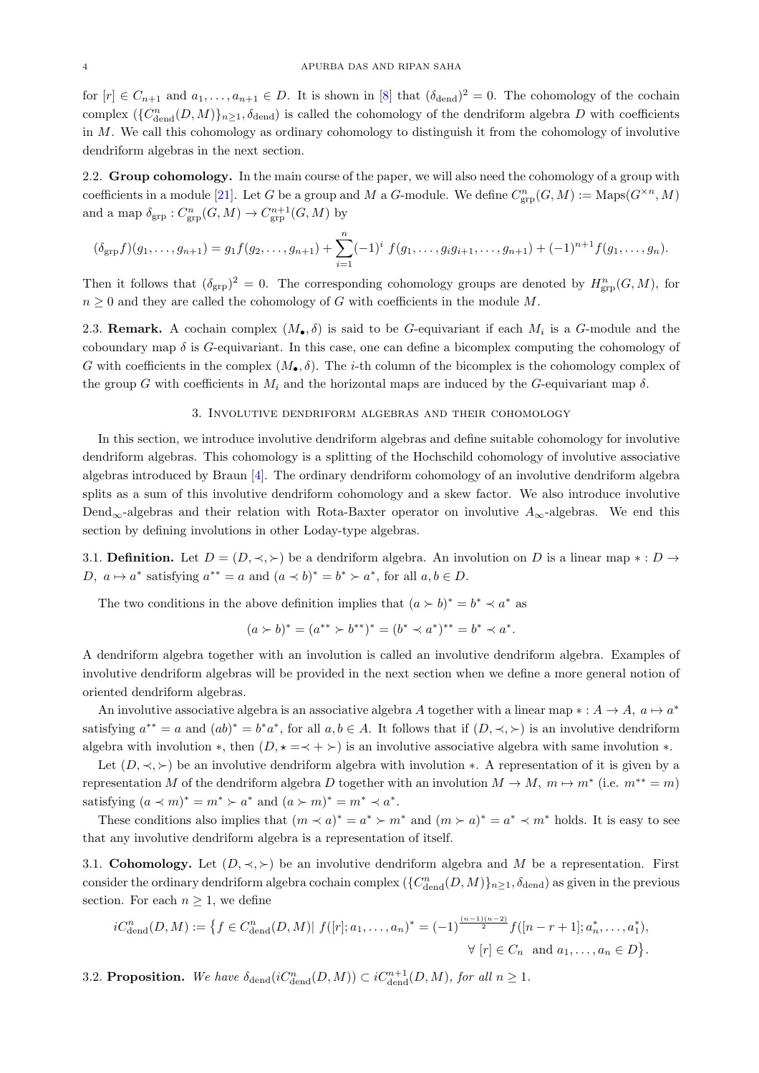for  $[r] \in C_{n+1}$  and  $a_1, \ldots, a_{n+1} \in D$ . It is shown in [\[8\]](#page-21-7) that  $(\delta_{\text{dend}})^2 = 0$ . The cohomology of the cochain complex  $(\{C_{\text{dend}}^n(D, M)\}_{n\geq 1}, \delta_{\text{dend}})$  is called the cohomology of the dendriform algebra D with coefficients in M. We call this cohomology as ordinary cohomology to distinguish it from the cohomology of involutive dendriform algebras in the next section.

<span id="page-3-0"></span>2.2. Group cohomology. In the main course of the paper, we will also need the cohomology of a group with coefficients in a module [\[21\]](#page-21-16). Let G be a group and M a G-module. We define  $C_{\text{grp}}^n(G, M) := \text{Maps}(G^{\times n}, M)$ and a map  $\delta_{\rm grp}: C^n_{\rm grp}(G,M)\to C^{n+1}_{\rm grp}(G,M)$  by

$$
(\delta_{\text{grp}}f)(g_1,\ldots,g_{n+1})=g_1f(g_2,\ldots,g_{n+1})+\sum_{i=1}^n(-1)^i f(g_1,\ldots,g_i g_{i+1},\ldots,g_{n+1})+(-1)^{n+1}f(g_1,\ldots,g_n).
$$

Then it follows that  $(\delta_{\rm grp})^2 = 0$ . The corresponding cohomology groups are denoted by  $H_{\rm grp}^n(G, M)$ , for  $n \geq 0$  and they are called the cohomology of G with coefficients in the module M.

<span id="page-3-4"></span>2.3. **Remark.** A cochain complex  $(M_{\bullet}, \delta)$  is said to be G-equivariant if each  $M_i$  is a G-module and the coboundary map  $\delta$  is G-equivariant. In this case, one can define a bicomplex computing the cohomology of G with coefficients in the complex  $(M_{\bullet}, \delta)$ . The *i*-th column of the bicomplex is the cohomology complex of the group G with coefficients in  $M_i$  and the horizontal maps are induced by the G-equivariant map  $\delta$ .

## 3. Involutive dendriform algebras and their cohomology

<span id="page-3-1"></span>In this section, we introduce involutive dendriform algebras and define suitable cohomology for involutive dendriform algebras. This cohomology is a splitting of the Hochschild cohomology of involutive associative algebras introduced by Braun [\[4\]](#page-21-1). The ordinary dendriform cohomology of an involutive dendriform algebra splits as a sum of this involutive dendriform cohomology and a skew factor. We also introduce involutive Dend<sub>∞</sub>-algebras and their relation with Rota-Baxter operator on involutive  $A_{\infty}$ -algebras. We end this section by defining involutions in other Loday-type algebras.

3.1. Definition. Let  $D = (D, \prec, \succ)$  be a dendriform algebra. An involution on D is a linear map  $\ast : D \to$ D,  $a \mapsto a^*$  satisfying  $a^{**} = a$  and  $(a \prec b)^* = b^* \succ a^*$ , for all  $a, b \in D$ .

The two conditions in the above definition implies that  $(a \succ b)^* = b^* \prec a^*$  as

$$
(a \succ b)^* = (a^{**} \succ b^{**})^* = (b^* \prec a^*)^{**} = b^* \prec a^*.
$$

A dendriform algebra together with an involution is called an involutive dendriform algebra. Examples of involutive dendriform algebras will be provided in the next section when we define a more general notion of oriented dendriform algebras.

An involutive associative algebra is an associative algebra A together with a linear map  $* : A \to A$ ,  $a \mapsto a^*$ satisfying  $a^{**} = a$  and  $(ab)^* = b^*a^*$ , for all  $a, b \in A$ . It follows that if  $(D, \prec, \succ)$  is an involutive dendriform algebra with involution \*, then  $(D, \star = \prec + \succ)$  is an involutive associative algebra with same involution \*.

Let  $(D, \prec, \succ)$  be an involutive dendriform algebra with involution \*. A representation of it is given by a representation M of the dendriform algebra D together with an involution  $M \to M$ ,  $m \mapsto m^*$  (i.e.  $m^{**} = m$ ) satisfying  $(a \prec m)^* = m^* \succ a^*$  and  $(a \succ m)^* = m^* \prec a^*$ .

These conditions also implies that  $(m \lt a)^* = a^* \gt m^*$  and  $(m \gt a)^* = a^* \lt m^*$  holds. It is easy to see that any involutive dendriform algebra is a representation of itself.

<span id="page-3-2"></span>3.1. Cohomology. Let  $(D, \prec, \succ)$  be an involutive dendriform algebra and M be a representation. First consider the ordinary dendriform algebra cochain complex  $(\{C^n_{\text{dend}}(D, M)\}_{n \geq 1}$ ,  $\delta_{\text{dend}})$  as given in the previous section. For each  $n \geq 1$ , we define

$$
iC_{\text{dend}}^n(D,M) := \left\{ f \in C_{\text{dend}}^n(D,M) | f([r]; a_1, \dots, a_n)^* = (-1)^{\frac{(n-1)(n-2)}{2}} f([n-r+1]; a_n^*, \dots, a_1^*), \forall [r] \in C_n \text{ and } a_1, \dots, a_n \in D \right\}.
$$

<span id="page-3-3"></span>3.2. **Proposition.** We have  $\delta_{\text{dend}}(iC_{\text{dend}}^n(D,M)) \subset iC_{\text{dend}}^{n+1}(D,M)$ , for all  $n \geq 1$ .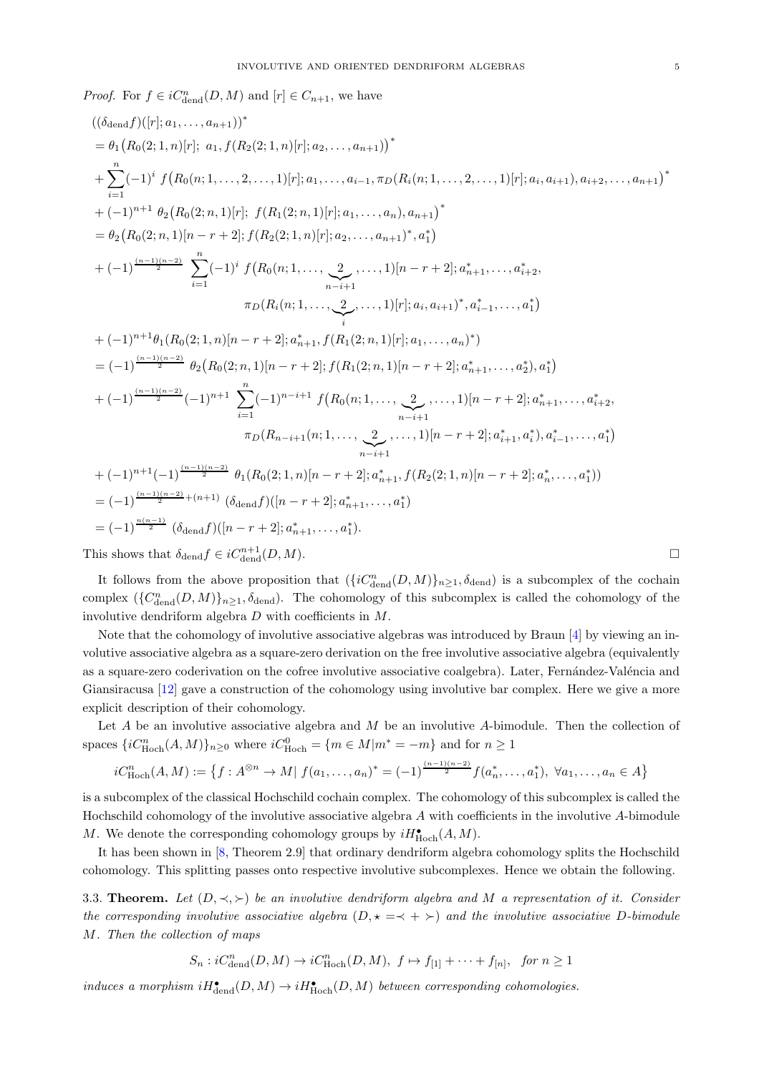*Proof.* For  $f \in iC^n_{\text{dend}}(D, M)$  and  $[r] \in C_{n+1}$ , we have

$$
((\delta_{\text{dend} f})([r]; a_1, ..., a_{n+1}))^*
$$
\n
$$
= \theta_1 (R_0(2; 1, n)[r]; a_1, f(R_2(2; 1, n)[r]; a_2, ..., a_{n+1})^*
$$
\n
$$
+ \sum_{i=1}^n (-1)^i f(R_0(n; 1, ..., 2, ..., 1)[r]; a_1, ..., a_{i-1}, \pi_D(R_i(n; 1, ..., 2, ..., 1)[r]; a_i, a_{i+1}), a_{i+2}, ..., a_{n+1})^*
$$
\n
$$
+ (-1)^{n+1} \theta_2 (R_0(2; n, 1)[r]; f(R_1(2; n, 1)[r]; a_1, ..., a_n), a_{n+1})^*
$$
\n
$$
= \theta_2 (R_0(2; n, 1)[n-r+2]; f(R_2(2; 1, n)[r]; a_2, ..., a_{n+1})^*, a_1^*
$$
\n
$$
+ (-1)^{\frac{(n-1)(n-2)}{2}} \sum_{i=1}^n (-1)^i f(R_0(n; 1, ..., \sum_{i-1}^2, ..., 1)[r] \cdot a_i, a_{i+1})^*, a_{i-1}^*, ..., a_{i+2}^*
$$
\n
$$
\pi_D(R_i(n; 1, ..., \sum_{i}^2, ..., 1)[r]; a_i, a_{i+1})^*, a_{i-1}^*, ..., a_1^*)
$$
\n
$$
+ (-1)^{n+1} \theta_1 (R_0(2; 1, n)[n-r+2]; a_{n+1}^*, f(R_1(2; n, 1)[r]; a_1, ..., a_n)^*)
$$
\n
$$
= (-1)^{\frac{(n-1)(n-2)}{2}} \theta_2 (R_0(2; n, 1)[n-r+2]; f(R_1(2; n, 1)[n-r+2]; a_{n+1}^*, ..., a_2^*), a_1^*)
$$
\n
$$
+ (-1)^{\frac{(n-1)(n-2)}{2}} (-1)^{n+1} \sum_{i=1}^n (-1)^{n-i+1} f(R_0(n; 1, ..., \sum_{i-i+1}^2, ..., 1)[n-r+2]; a_{i+1}^*, a_i^*, a_{i+1}^*, ..., a_{i+2}^*
$$
\n
$$
+ (-1)^{n+1} (-1)^{\
$$

It follows from the above proposition that  $({iC^n_{\text{dend}}(D, M)}_{n \geq 1}$ ,  $\delta_{\text{dend}})$  is a subcomplex of the cochain complex  $(\{C_{\text{dend}}^n(D,M)\}_{n\geq 1}, \delta_{\text{dend}})$ . The cohomology of this subcomplex is called the cohomology of the involutive dendriform algebra  $D$  with coefficients in  $M$ .

Note that the cohomology of involutive associative algebras was introduced by Braun [\[4\]](#page-21-1) by viewing an involutive associative algebra as a square-zero derivation on the free involutive associative algebra (equivalently as a square-zero coderivation on the cofree involutive associative coalgebra). Later, Fernández-Valéncia and Giansiracusa [\[12\]](#page-21-4) gave a construction of the cohomology using involutive bar complex. Here we give a more explicit description of their cohomology.

Let  $A$  be an involutive associative algebra and  $M$  be an involutive  $A$ -bimodule. Then the collection of spaces  $\{iC^n_{\text{Hoch}}(A, M)\}_{n\geq 0}$  where  $iC^0_{\text{Hoch}} = \{m \in M | m^* = -m\}$  and for  $n \geq 1$ 

$$
iC_{\text{Hoch}}^n(A, M) := \left\{ f : A^{\otimes n} \to M | f(a_1, \dots, a_n)^* = (-1)^{\frac{(n-1)(n-2)}{2}} f(a_n^*, \dots, a_1^*), \ \forall a_1, \dots, a_n \in A \right\}
$$

is a subcomplex of the classical Hochschild cochain complex. The cohomology of this subcomplex is called the Hochschild cohomology of the involutive associative algebra A with coefficients in the involutive A-bimodule M. We denote the corresponding cohomology groups by  $iH_{\rm Hoch}^{\bullet}(A,M)$ .

It has been shown in [\[8,](#page-21-7) Theorem 2.9] that ordinary dendriform algebra cohomology splits the Hochschild cohomology. This splitting passes onto respective involutive subcomplexes. Hence we obtain the following.

<span id="page-4-0"></span>3.3. Theorem. Let  $(D, \prec, \succ)$  be an involutive dendriform algebra and M a representation of it. Consider the corresponding involutive associative algebra  $(D, \star = \prec + \succ)$  and the involutive associative D-bimodule M. Then the collection of maps

$$
S_n: iC^n_{\text{dend}}(D, M) \to iC^n_{\text{Hoch}}(D, M), \ f \mapsto f_{[1]} + \cdots + f_{[n]}, \ \ \text{for} \ n \ge 1
$$

induces a morphism  $iH_{\text{dend}}^{\bullet}(D, M) \rightarrow iH_{\text{Hoch}}^{\bullet}(D, M)$  between corresponding cohomologies.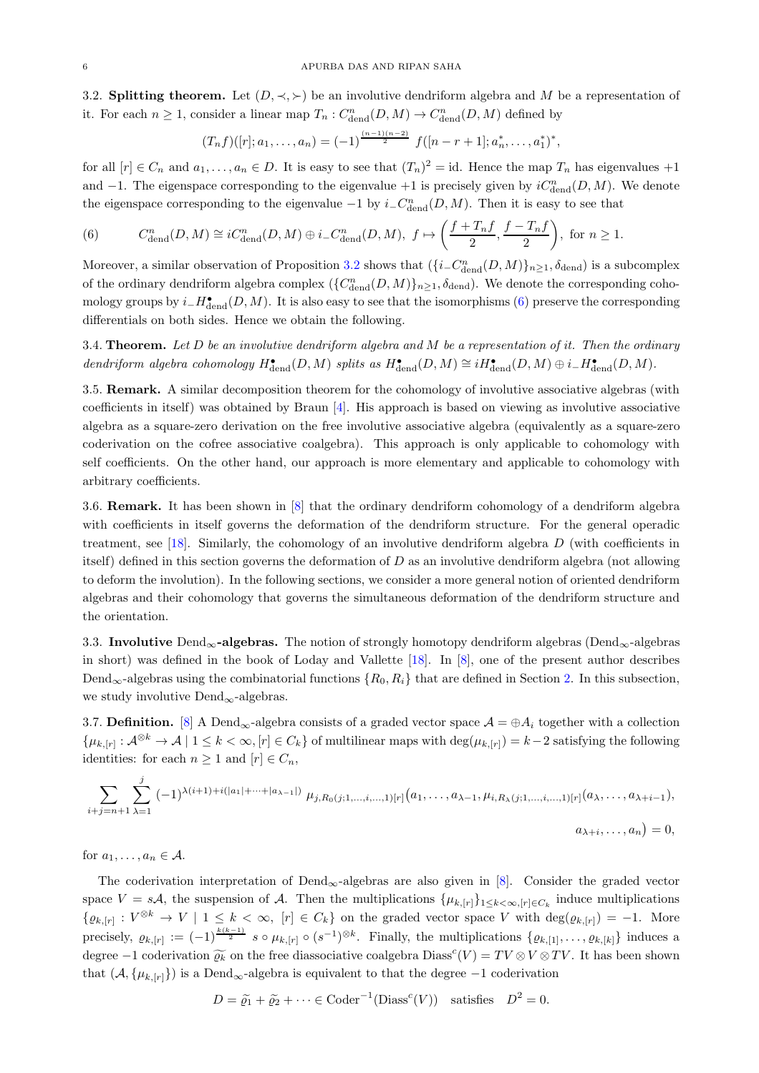<span id="page-5-0"></span>3.2. Splitting theorem. Let  $(D, \prec, \succ)$  be an involutive dendriform algebra and M be a representation of it. For each  $n \geq 1$ , consider a linear map  $T_n : C^n_{\text{dend}}(D, M) \to C^n_{\text{dend}}(D, M)$  defined by

$$
(T_nf)([r]; a_1, \ldots, a_n) = (-1)^{\frac{(n-1)(n-2)}{2}} f([n-r+1]; a_n^*, \ldots, a_1^*)^*,
$$

for all  $[r] \in C_n$  and  $a_1, \ldots, a_n \in D$ . It is easy to see that  $(T_n)^2 = id$ . Hence the map  $T_n$  has eigenvalues  $+1$ and  $-1$ . The eigenspace corresponding to the eigenvalue  $+1$  is precisely given by  $iC^n_{\text{dend}}(D, M)$ . We denote the eigenspace corresponding to the eigenvalue  $-1$  by  $i_{-}C_{\text{dend}}^{n}(D, M)$ . Then it is easy to see that

<span id="page-5-3"></span>(6) 
$$
C_{\text{dend}}^n(D, M) \cong iC_{\text{dend}}^n(D, M) \oplus i\_{C_{\text{dend}}^n(D, M), f \mapsto \left(\frac{f + T_nf}{2}, \frac{f - T_nf}{2}\right), \text{ for } n \ge 1.
$$

Moreover, a similar observation of Proposition [3.2](#page-3-3) shows that  $(\{i\_{C_{\text{dend}}^n(D,M)\}_{n\geq 1}, \delta_{\text{dend}})$  is a subcomplex of the ordinary dendriform algebra complex  $(\{C^n_{\text{dend}}(D, M)\}_{n \geq 1}$ ,  $\delta_{\text{dend}})$ . We denote the corresponding cohomology groups by  $i_H^{\bullet}$ <sub>dend</sub> $(D, M)$ . It is also easy to see that the isomorphisms [\(6\)](#page-5-3) preserve the corresponding differentials on both sides. Hence we obtain the following.

<span id="page-5-2"></span>3.4. Theorem. Let  $D$  be an involutive dendriform algebra and  $M$  be a representation of it. Then the ordinary dendriform algebra cohomology  $H_{\text{dend}}^{\bullet}(D, M)$  splits as  $H_{\text{dend}}^{\bullet}(D, M) \cong iH_{\text{dend}}^{\bullet}(D, M) \oplus i-H_{\text{dend}}^{\bullet}(D, M)$ .

3.5. **Remark.** A similar decomposition theorem for the cohomology of involutive associative algebras (with coefficients in itself) was obtained by Braun [\[4\]](#page-21-1). His approach is based on viewing as involutive associative algebra as a square-zero derivation on the free involutive associative algebra (equivalently as a square-zero coderivation on the cofree associative coalgebra). This approach is only applicable to cohomology with self coefficients. On the other hand, our approach is more elementary and applicable to cohomology with arbitrary coefficients.

3.6. Remark. It has been shown in [\[8\]](#page-21-7) that the ordinary dendriform cohomology of a dendriform algebra with coefficients in itself governs the deformation of the dendriform structure. For the general operadic treatment, see [\[18\]](#page-21-3). Similarly, the cohomology of an involutive dendriform algebra  $D$  (with coefficients in itself) defined in this section governs the deformation of D as an involutive dendriform algebra (not allowing to deform the involution). In the following sections, we consider a more general notion of oriented dendriform algebras and their cohomology that governs the simultaneous deformation of the dendriform structure and the orientation.

<span id="page-5-1"></span>3.3. Involutive Dend<sub>∞</sub>-algebras. The notion of strongly homotopy dendriform algebras (Dend<sub>∞</sub>-algebras in short) was defined in the book of Loday and Vallette [\[18\]](#page-21-3). In [\[8\]](#page-21-7), one of the present author describes Dend<sub>∞</sub>-algebras using the combinatorial functions  $\{R_0, R_i\}$  that are defined in Section [2.](#page-1-0) In this subsection, we study involutive Dend<sub>∞</sub>-algebras.

3.7. Definition. [\[8\]](#page-21-7) A Dend<sub>∞</sub>-algebra consists of a graded vector space  $\mathcal{A} = \oplus A_i$  together with a collection  $\{\mu_{k,[r]} : \mathcal{A}^{\otimes k} \to \mathcal{A} \mid 1 \leq k < \infty, [r] \in C_k\}$  of multilinear maps with  $\deg(\mu_{k,[r]}) = k-2$  satisfying the following identities: for each  $n \geq 1$  and  $[r] \in C_n$ ,

$$
\sum_{i+j=n+1} \sum_{\lambda=1}^j (-1)^{\lambda(i+1)+i(|a_1|+\cdots+|a_{\lambda-1}|)} \mu_{j,R_0(j;1,\ldots,i,\ldots,1)[r]}(a_1,\ldots,a_{\lambda-1},\mu_{i,R_\lambda(j;1,\ldots,i,\ldots,1)[r]}(a_\lambda,\ldots,a_{\lambda+i-1}),
$$
  

$$
a_{\lambda+i},\ldots,a_n) = 0,
$$

for  $a_1, \ldots, a_n \in A$ .

The coderivation interpretation of  $Dend_{\infty}$ -algebras are also given in [\[8\]](#page-21-7). Consider the graded vector space  $V = sA$ , the suspension of A. Then the multiplications  $\{\mu_{k, [r]}\}_{1 \leq k < \infty, [r] \in C_k}$  induce multiplications  $\{\varrho_{k,[r]}: V^{\otimes k} \to V \mid 1 \leq k < \infty, [r] \in C_k\}$  on the graded vector space V with  $\deg(\varrho_{k,[r]}) = -1$ . More precisely,  $\varrho_{k,[r]} := (-1)^{\frac{k(k-1)}{2}} s \circ \mu_{k,[r]} \circ (s^{-1})^{\otimes k}$ . Finally, the multiplications  $\{\varrho_{k,[1]}, \ldots, \varrho_{k,[k]}\}\$  induces a degree  $-1$  coderivation  $\widetilde{\varrho_k}$  on the free diassociative coalgebra Diass<sup>c</sup> $(V) = TV \otimes V \otimes TV$ . It has been shown that  $(\mathcal{A}, {\mu_{k,[r]}})$  is a Dend<sub>∞</sub>-algebra is equivalent to that the degree  $-1$  coderivation

$$
D = \tilde{\varrho}_1 + \tilde{\varrho}_2 + \dots \in \text{Coder}^{-1}(\text{Diass}^c(V)) \quad \text{satisfies} \quad D^2 = 0.
$$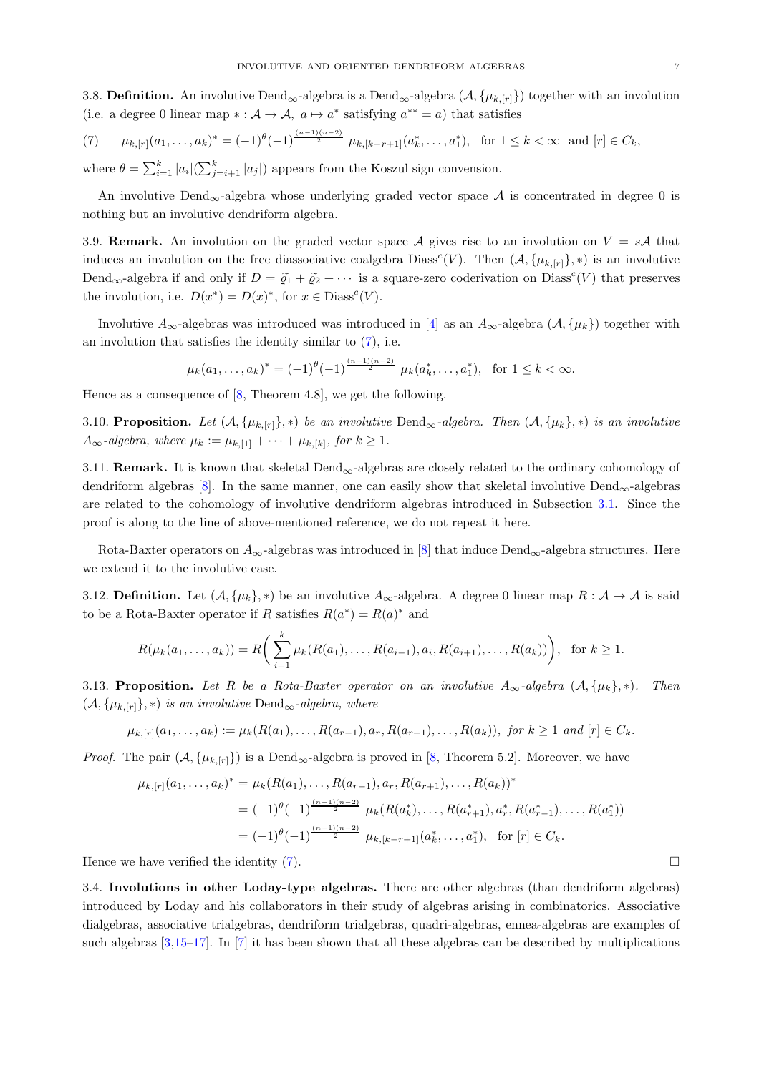3.8. **Definition.** An involutive Dend<sub>∞</sub>-algebra is a Dend<sub>∞</sub>-algebra  $(A, \{\mu_{k,[r]}\})$  together with an involution (i.e. a degree 0 linear map  $* : A \to A$ ,  $a \mapsto a^*$  satisfying  $a^{**} = a$ ) that satisfies

<span id="page-6-1"></span>(7) 
$$
\mu_{k,[r]}(a_1,\ldots,a_k)^* = (-1)^{\theta} (-1)^{\frac{(n-1)(n-2)}{2}} \mu_{k,[k-r+1]}(a_k^*,\ldots,a_1^*), \text{ for } 1 \le k < \infty \text{ and } [r] \in C_k,
$$

where  $\theta = \sum_{i=1}^{k} |a_i| (\sum_{j=i+1}^{k} |a_j|)$  appears from the Koszul sign convension.

An involutive Dend<sub>∞</sub>-algebra whose underlying graded vector space  $A$  is concentrated in degree 0 is nothing but an involutive dendriform algebra.

3.9. **Remark.** An involution on the graded vector space A gives rise to an involution on  $V = sA$  that induces an involution on the free diassociative coalgebra Diass<sup>c</sup>(V). Then  $(A, {\{\mu_{k,[r]}\},\ast})$  is an involutive Dend<sub>∞</sub>-algebra if and only if  $D = \tilde{\varrho}_1 + \tilde{\varrho}_2 + \cdots$  is a square-zero coderivation on Diass<sup>c</sup>(V) that preserves the involution, i.e.  $D(x^*) = D(x)^*$ , for  $x \in \text{Diass}^c(V)$ .

Involutive  $A_{\infty}$ -algebras was introduced was introduced in [\[4\]](#page-21-1) as an  $A_{\infty}$ -algebra  $(\mathcal{A}, {\mu_k})$  together with an involution that satisfies the identity similar to [\(7\)](#page-6-1), i.e.

$$
\mu_k(a_1,\ldots,a_k)^* = (-1)^{\theta} (-1)^{\frac{(n-1)(n-2)}{2}} \mu_k(a_k^*,\ldots,a_1^*), \text{ for } 1 \le k < \infty.
$$

Hence as a consequence of [\[8,](#page-21-7) Theorem 4.8], we get the following.

3.10. Proposition. Let  $(A, \{\mu_{k,[r]}\}, *)$  be an involutive Dend<sub>∞</sub>-algebra. Then  $(A, \{\mu_k\}, *)$  is an involutive  $A_{\infty}$ -algebra, where  $\mu_k := \mu_{k,1} + \cdots + \mu_{k,[k]},$  for  $k \geq 1$ .

<span id="page-6-2"></span>3.11. **Remark.** It is known that skeletal  $Dend_{\infty}$ -algebras are closely related to the ordinary cohomology of dendriform algebras [\[8\]](#page-21-7). In the same manner, one can easily show that skeletal involutive  $Dend_{\infty}$ -algebras are related to the cohomology of involutive dendriform algebras introduced in Subsection [3.1.](#page-3-2) Since the proof is along to the line of above-mentioned reference, we do not repeat it here.

Rota-Baxter operators on  $A_{\infty}$ -algebras was introduced in [\[8\]](#page-21-7) that induce Dend<sub>∞</sub>-algebra structures. Here we extend it to the involutive case.

3.12. **Definition.** Let  $(A, \{\mu_k\}, *)$  be an involutive  $A_{\infty}$ -algebra. A degree 0 linear map  $R : A \to A$  is said to be a Rota-Baxter operator if R satisfies  $R(a^*) = R(a)^*$  and

$$
R(\mu_k(a_1,\ldots,a_k)) = R\bigg(\sum_{i=1}^k \mu_k(R(a_1),\ldots,R(a_{i-1}),a_i,R(a_{i+1}),\ldots,R(a_k))\bigg), \text{ for } k \ge 1.
$$

3.13. Proposition. Let R be a Rota-Baxter operator on an involutive  $A_{\infty}$ -algebra  $(\mathcal{A}, {\mu_k}, *)$ . Then  $(\mathcal{A}, {\mu_{k,[r]}})$ , \*) is an involutive Dend<sub>∞</sub>-algebra, where

$$
\mu_{k, [r]}(a_1, \ldots, a_k) := \mu_k(R(a_1), \ldots, R(a_{r-1}), a_r, R(a_{r+1}), \ldots, R(a_k)), \text{ for } k \ge 1 \text{ and } [r] \in C_k.
$$

*Proof.* The pair  $(A, \{\mu_{k,[r]}\})$  is a Dend<sub>∞</sub>-algebra is proved in [\[8,](#page-21-7) Theorem 5.2]. Moreover, we have

$$
\mu_{k,[r]}(a_1,\ldots,a_k)^* = \mu_k(R(a_1),\ldots,R(a_{r-1}),a_r,R(a_{r+1}),\ldots,R(a_k))^*
$$
  
=  $(-1)^{\theta}(-1)^{\frac{(n-1)(n-2)}{2}} \mu_k(R(a_k^*),\ldots,R(a_{r+1}^*),a_r^*,R(a_{r-1}^*),\ldots,R(a_1^*))$   
=  $(-1)^{\theta}(-1)^{\frac{(n-1)(n-2)}{2}} \mu_{k,[k-r+1]}(a_k^*,\ldots,a_1^*), \text{ for } [r] \in C_k.$ 

<span id="page-6-0"></span>Hence we have verified the identity [\(7\)](#page-6-1).

3.4. Involutions in other Loday-type algebras. There are other algebras (than dendriform algebras) introduced by Loday and his collaborators in their study of algebras arising in combinatorics. Associative dialgebras, associative trialgebras, dendriform trialgebras, quadri-algebras, ennea-algebras are examples of such algebras  $[3,15-17]$  $[3,15-17]$  $[3,15-17]$ . In [\[7\]](#page-21-14) it has been shown that all these algebras can be described by multiplications

$$
\sqcup
$$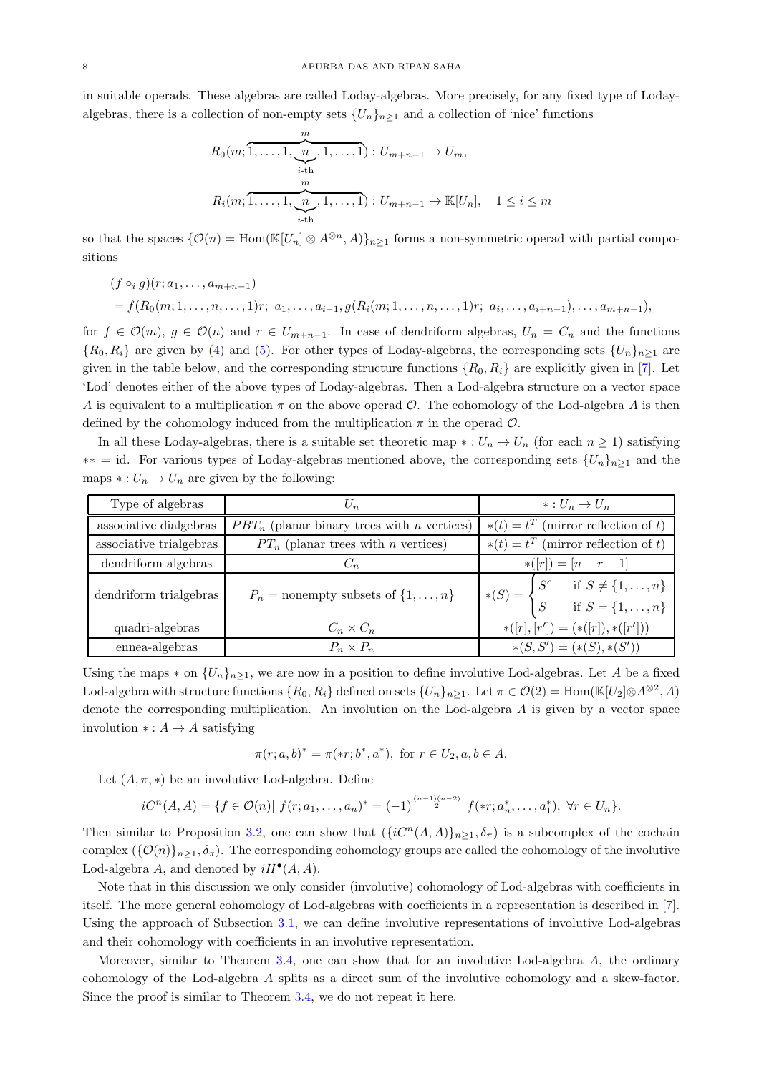in suitable operads. These algebras are called Loday-algebras. More precisely, for any fixed type of Lodayalgebras, there is a collection of non-empty sets  $\{U_n\}_{n\geq 1}$  and a collection of 'nice' functions

$$
R_0(m; \overbrace{1, \ldots, 1, \underbrace{n, \ldots, 1}_{i \text{-th}}, 1, \ldots, 1}_{m}) : U_{m+n-1} \to U_m,
$$
  

$$
R_i(m; \overbrace{1, \ldots, 1, \underbrace{n, \ldots, 1}_{i \text{-th}}, 1, \ldots, 1}) : U_{m+n-1} \to \mathbb{K}[U_n], \quad 1 \leq i \leq m
$$

so that the spaces  $\{\mathcal{O}(n) = \text{Hom}(\mathbb{K}[U_n] \otimes A^{\otimes n}, A)\}_{n \geq 1}$  forms a non-symmetric operad with partial compositions

$$
(f \circ_i g)(r; a_1, \ldots, a_{m+n-1})
$$
  
=  $f(R_0(m; 1, \ldots, n, \ldots, 1)r; a_1, \ldots, a_{i-1}, g(R_i(m; 1, \ldots, n, \ldots, 1)r; a_i, \ldots, a_{i+n-1}), \ldots, a_{m+n-1}),$ 

for  $f \in \mathcal{O}(m)$ ,  $g \in \mathcal{O}(n)$  and  $r \in U_{m+n-1}$ . In case of dendriform algebras,  $U_n = C_n$  and the functions  ${R_0, R_i}$  are given by [\(4\)](#page-2-0) and [\(5\)](#page-2-1). For other types of Loday-algebras, the corresponding sets  ${U_n}_{n\geq 1}$  are given in the table below, and the corresponding structure functions  $\{R_0, R_i\}$  are explicitly given in [\[7\]](#page-21-14). Let 'Lod' denotes either of the above types of Loday-algebras. Then a Lod-algebra structure on a vector space A is equivalent to a multiplication  $\pi$  on the above operad O. The cohomology of the Lod-algebra A is then defined by the cohomology induced from the multiplication  $\pi$  in the operad  $\mathcal{O}$ .

In all these Loday-algebras, there is a suitable set theoretic map ∗ :  $U_n \to U_n$  (for each  $n \ge 1$ ) satisfying  $**$  = id. For various types of Loday-algebras mentioned above, the corresponding sets  $\{U_n\}_{n\geq 1}$  and the maps  $* : U_n \to U_n$  are given by the following:

| Type of algebras        | $U_n$                                                | $*: U_n \to U_n$                                                                     |
|-------------------------|------------------------------------------------------|--------------------------------------------------------------------------------------|
| associative dialgebras  | $PBT_n$ (planar binary trees with <i>n</i> vertices) | (mirror reflection of $t$ )<br>$*(t) = t^T$                                          |
| associative trialgebras | $PT_n$ (planar trees with <i>n</i> vertices)         | $*(t) = t^T$ (mirror reflection of t)                                                |
| dendriform algebras     |                                                      | $*(r) = [n - r + 1]$                                                                 |
| dendriform trialgebras  | $P_n$ = nonempty subsets of $\{1,\ldots,n\}$         | $\mid S^c$<br>if $S \neq \{1, , n\}$<br>if $S = \{1, , n\}$<br>$*(S) = \langle$<br>S |
| quadri-algebras         | $C_n \times C_n$                                     | $*(r, r') = (* (r]), * (r'))$                                                        |
| ennea-algebras          | $P_n \times P_n$                                     | $*(S, S') = (*(S), *(S'))$                                                           |

Using the maps  $*$  on  $\{U_n\}_{n>1}$ , we are now in a position to define involutive Lod-algebras. Let A be a fixed Lod-algebra with structure functions  $\{R_0, R_i\}$  defined on sets  $\{U_n\}_{n\geq 1}$ . Let  $\pi \in \mathcal{O}(2) = \text{Hom}(\mathbb{K}[U_2] \otimes A^{\otimes 2}, A)$ denote the corresponding multiplication. An involution on the Lod-algebra A is given by a vector space involution  $* : A \rightarrow A$  satisfying

$$
\pi(r;a,b)^* = \pi(*r;b^*,a^*), \text{ for } r \in U_2, a, b \in A.
$$

Let  $(A, \pi, *)$  be an involutive Lod-algebra. Define

$$
iC^{n}(A,A) = \{f \in \mathcal{O}(n) | f(r;a_1,\ldots,a_n)^{*} = (-1)^{\frac{(n-1)(n-2)}{2}} f(*r;a_n^{*},\ldots,a_1^{*}), \forall r \in U_n\}.
$$

Then similar to Proposition [3.2,](#page-3-3) one can show that  $({iC<sup>n</sup>(A, A)}_{n>1}, \delta_n)$  is a subcomplex of the cochain complex  $({\{\mathcal{O}(n)\}_n}_{\geq 1}, \delta_{\pi})$ . The corresponding cohomology groups are called the cohomology of the involutive Lod-algebra A, and denoted by  $iH^{\bullet}(A, A)$ .

Note that in this discussion we only consider (involutive) cohomology of Lod-algebras with coefficients in itself. The more general cohomology of Lod-algebras with coefficients in a representation is described in [\[7\]](#page-21-14). Using the approach of Subsection [3.1,](#page-3-2) we can define involutive representations of involutive Lod-algebras and their cohomology with coefficients in an involutive representation.

Moreover, similar to Theorem [3.4,](#page-5-2) one can show that for an involutive Lod-algebra A, the ordinary cohomology of the Lod-algebra A splits as a direct sum of the involutive cohomology and a skew-factor. Since the proof is similar to Theorem [3.4,](#page-5-2) we do not repeat it here.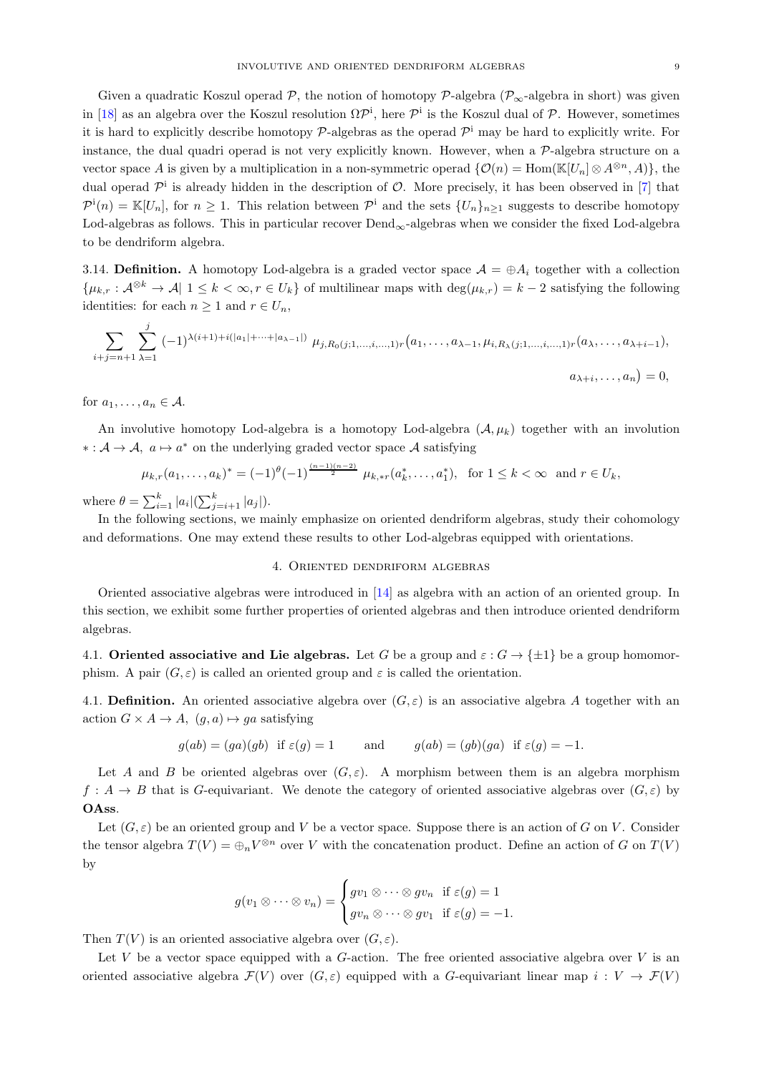Given a quadratic Koszul operad P, the notion of homotopy P-algebra ( $\mathcal{P}_{\infty}$ -algebra in short) was given in [\[18\]](#page-21-3) as an algebra over the Koszul resolution  $\Omega \mathcal{P}^i$ , here  $\mathcal{P}^i$  is the Koszul dual of  $\mathcal{P}$ . However, sometimes it is hard to explicitly describe homotopy  $P$ -algebras as the operad  $P^i$  may be hard to explicitly write. For instance, the dual quadri operad is not very explicitly known. However, when a  $\mathcal{P}\text{-algebra structure on a}$ vector space A is given by a multiplication in a non-symmetric operad  $\{\mathcal{O}(n) = \text{Hom}(\mathbb{K}[U_n] \otimes A^{\otimes n}, A)\}\)$ , the dual operad  $\mathcal{P}^i$  is already hidden in the description of  $\mathcal{O}$ . More precisely, it has been observed in [\[7\]](#page-21-14) that  $\mathcal{P}^{\text{i}}(n) = \mathbb{K}[U_n]$ , for  $n \geq 1$ . This relation between  $\mathcal{P}^{\text{i}}$  and the sets  $\{U_n\}_{n \geq 1}$  suggests to describe homotopy Lod-algebras as follows. This in particular recover Dend∞-algebras when we consider the fixed Lod-algebra to be dendriform algebra.

3.14. Definition. A homotopy Lod-algebra is a graded vector space  $\mathcal{A} = \oplus A_i$  together with a collection  $\{\mu_{k,r}: \mathcal{A}^{\otimes k} \to \mathcal{A} | 1 \leq k < \infty, r \in U_k\}$  of multilinear maps with  $\deg(\mu_{k,r}) = k-2$  satisfying the following identities: for each  $n \geq 1$  and  $r \in U_n$ ,

$$
\sum_{i+j=n+1} \sum_{\lambda=1}^j (-1)^{\lambda(i+1)+i(|a_1|+\cdots+|a_{\lambda-1}|)} \mu_{j,R_0(j;1,\ldots,i,\ldots,1)r}(a_1,\ldots,a_{\lambda-1},\mu_{i,R_\lambda(j;1,\ldots,i,\ldots,1)r}(a_\lambda,\ldots,a_{\lambda+i-1}),
$$
  

$$
a_{\lambda+i},\ldots,a_n) = 0,
$$

for  $a_1, \ldots, a_n \in A$ .

An involutive homotopy Lod-algebra is a homotopy Lod-algebra  $(\mathcal{A}, \mu_k)$  together with an involution ∗ :  $A \rightarrow A$ ,  $a \mapsto a^*$  on the underlying graded vector space A satisfying

$$
\mu_{k,r}(a_1,\ldots,a_k)^* = (-1)^{\theta} (-1)^{\frac{(n-1)(n-2)}{2}} \mu_{k,*r}(a_k^*,\ldots,a_1^*), \text{ for } 1 \le k < \infty \text{ and } r \in U_k,
$$

where  $\theta = \sum_{i=1}^{k} |a_i| (\sum_{j=i+1}^{k} |a_j|).$ 

<span id="page-8-0"></span>In the following sections, we mainly emphasize on oriented dendriform algebras, study their cohomology and deformations. One may extend these results to other Lod-algebras equipped with orientations.

## 4. Oriented dendriform algebras

Oriented associative algebras were introduced in [\[14\]](#page-21-5) as algebra with an action of an oriented group. In this section, we exhibit some further properties of oriented algebras and then introduce oriented dendriform algebras.

<span id="page-8-1"></span>4.1. Oriented associative and Lie algebras. Let G be a group and  $\varepsilon : G \to {\pm 1}$  be a group homomorphism. A pair  $(G, \varepsilon)$  is called an oriented group and  $\varepsilon$  is called the orientation.

4.1. Definition. An oriented associative algebra over  $(G, \varepsilon)$  is an associative algebra A together with an action  $G \times A \rightarrow A$ ,  $(g, a) \mapsto ga$  satisfying

$$
g(ab) = (ga)(gb)
$$
 if  $\varepsilon(g) = 1$  and  $g(ab) = (gb)(ga)$  if  $\varepsilon(g) = -1$ .

Let A and B be oriented algebras over  $(G, \varepsilon)$ . A morphism between them is an algebra morphism  $f: A \to B$  that is G-equivariant. We denote the category of oriented associative algebras over  $(G, \varepsilon)$  by OAss.

Let  $(G, \varepsilon)$  be an oriented group and V be a vector space. Suppose there is an action of G on V. Consider the tensor algebra  $T(V) = \bigoplus_n V^{\otimes n}$  over V with the concatenation product. Define an action of G on  $T(V)$ by

$$
g(v_1 \otimes \cdots \otimes v_n) = \begin{cases} gv_1 \otimes \cdots \otimes gv_n & \text{if } \varepsilon(g) = 1 \\ gv_n \otimes \cdots \otimes gv_1 & \text{if } \varepsilon(g) = -1. \end{cases}
$$

Then  $T(V)$  is an oriented associative algebra over  $(G, \varepsilon)$ .

Let V be a vector space equipped with a  $G$ -action. The free oriented associative algebra over V is an oriented associative algebra  $\mathcal{F}(V)$  over  $(G,\varepsilon)$  equipped with a G-equivariant linear map  $i: V \to \mathcal{F}(V)$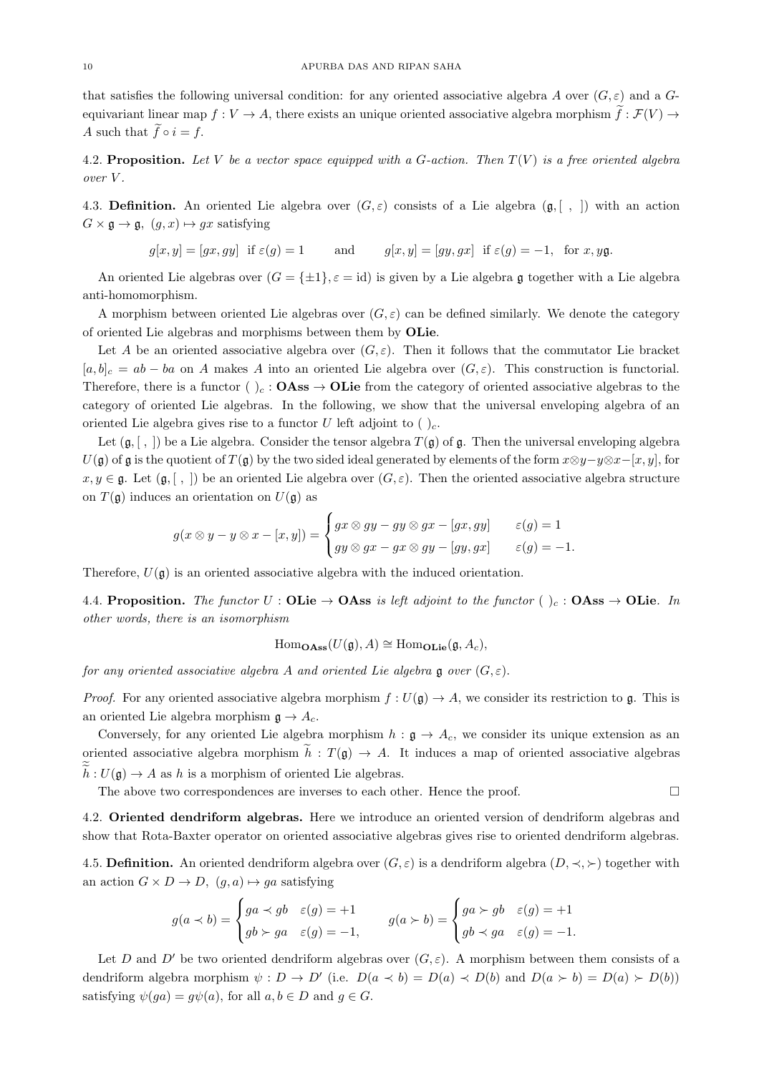that satisfies the following universal condition: for any oriented associative algebra A over  $(G, \varepsilon)$  and a Gequivariant linear map  $f: V \to A$ , there exists an unique oriented associative algebra morphism  $\tilde{f}: \mathcal{F}(V) \to$ A such that  $\widetilde{f} \circ i = f$ .

4.2. Proposition. Let V be a vector space equipped with a G-action. Then  $T(V)$  is a free oriented algebra over V .

4.3. Definition. An oriented Lie algebra over  $(G, \varepsilon)$  consists of a Lie algebra  $(\mathfrak{g}, [ , ])$  with an action  $G \times \mathfrak{g} \to \mathfrak{g}, (g, x) \mapsto gx$  satisfying

$$
g[x, y] = [gx, gy]
$$
 if  $\varepsilon(g) = 1$  and  $g[x, y] = [gy, gx]$  if  $\varepsilon(g) = -1$ , for x, yg.

An oriented Lie algebras over  $(G = {\pm 1}, \varepsilon = id)$  is given by a Lie algebra g together with a Lie algebra anti-homomorphism.

A morphism between oriented Lie algebras over  $(G, \varepsilon)$  can be defined similarly. We denote the category of oriented Lie algebras and morphisms between them by OLie.

Let A be an oriented associative algebra over  $(G, \varepsilon)$ . Then it follows that the commutator Lie bracket  $[a, b]_c = ab - ba$  on A makes A into an oriented Lie algebra over  $(G, \varepsilon)$ . This construction is functorial. Therefore, there is a functor ( )<sub>c</sub> : **OAss**  $\rightarrow$  **OLie** from the category of oriented associative algebras to the category of oriented Lie algebras. In the following, we show that the universal enveloping algebra of an oriented Lie algebra gives rise to a functor U left adjoint to  $( )_c$ .

Let  $(\mathfrak{g}, [ , ])$  be a Lie algebra. Consider the tensor algebra  $T(\mathfrak{g})$  of  $\mathfrak{g}$ . Then the universal enveloping algebra  $U(\mathfrak{g})$  of  $\mathfrak{g}$  is the quotient of  $T(\mathfrak{g})$  by the two sided ideal generated by elements of the form  $x\otimes y-y\otimes x-[x, y]$ , for  $x, y \in \mathfrak{g}$ . Let  $(\mathfrak{g}, [ , ])$  be an oriented Lie algebra over  $(G, \varepsilon)$ . Then the oriented associative algebra structure on  $T(\mathfrak{g})$  induces an orientation on  $U(\mathfrak{g})$  as

$$
g(x \otimes y - y \otimes x - [x, y]) = \begin{cases} gx \otimes gy - gy \otimes gx - [gx, gy] & \varepsilon(g) = 1 \\ gy \otimes gx - gx \otimes gy - [gy, gx] & \varepsilon(g) = -1. \end{cases}
$$

Therefore,  $U(\mathfrak{g})$  is an oriented associative algebra with the induced orientation.

4.4. Proposition. The functor  $U :$  OLie  $\rightarrow$  OAss is left adjoint to the functor ( )<sub>c</sub> : OAss  $\rightarrow$  OLie. In other words, there is an isomorphism

$$
\operatorname{Hom}_{\mathbf{OAss}}(U(\mathfrak{g}), A) \cong \operatorname{Hom}_{\mathbf{OLie}}(\mathfrak{g}, A_c),
$$

for any oriented associative algebra A and oriented Lie algebra  $\mathfrak g$  over  $(G, \varepsilon)$ .

*Proof.* For any oriented associative algebra morphism  $f: U(\mathfrak{g}) \to A$ , we consider its restriction to  $\mathfrak{g}$ . This is an oriented Lie algebra morphism  $\mathfrak{g} \to A_c$ .

Conversely, for any oriented Lie algebra morphism  $h : \mathfrak{g} \to A_c$ , we consider its unique extension as an oriented associative algebra morphism  $h : T(\mathfrak{g}) \to A$ . It induces a map of oriented associative algebras  $\widetilde{h}: U(\mathfrak{g}) \to A$  as h is a morphism of oriented Lie algebras.

<span id="page-9-0"></span>The above two correspondences are inverses to each other. Hence the proof.  $\Box$ 

4.2. Oriented dendriform algebras. Here we introduce an oriented version of dendriform algebras and show that Rota-Baxter operator on oriented associative algebras gives rise to oriented dendriform algebras.

4.5. Definition. An oriented dendriform algebra over  $(G, \varepsilon)$  is a dendriform algebra  $(D, \prec, \succ)$  together with an action  $G \times D \to D$ ,  $(g, a) \mapsto ga$  satisfying

$$
g(a \prec b) = \begin{cases} ga \prec gb & \varepsilon(g) = +1 \\ gb \succ ga & \varepsilon(g) = -1, \end{cases} \qquad g(a \succ b) = \begin{cases} ga \succ gb & \varepsilon(g) = +1 \\ gb \prec ga & \varepsilon(g) = -1. \end{cases}
$$

Let D and D' be two oriented dendriform algebras over  $(G, \varepsilon)$ . A morphism between them consists of a dendriform algebra morphism  $\psi : D \to D'$  (i.e.  $D(a \prec b) = D(a) \prec D(b)$  and  $D(a \succ b) = D(a) \succ D(b)$ ) satisfying  $\psi(ga) = g\psi(a)$ , for all  $a, b \in D$  and  $g \in G$ .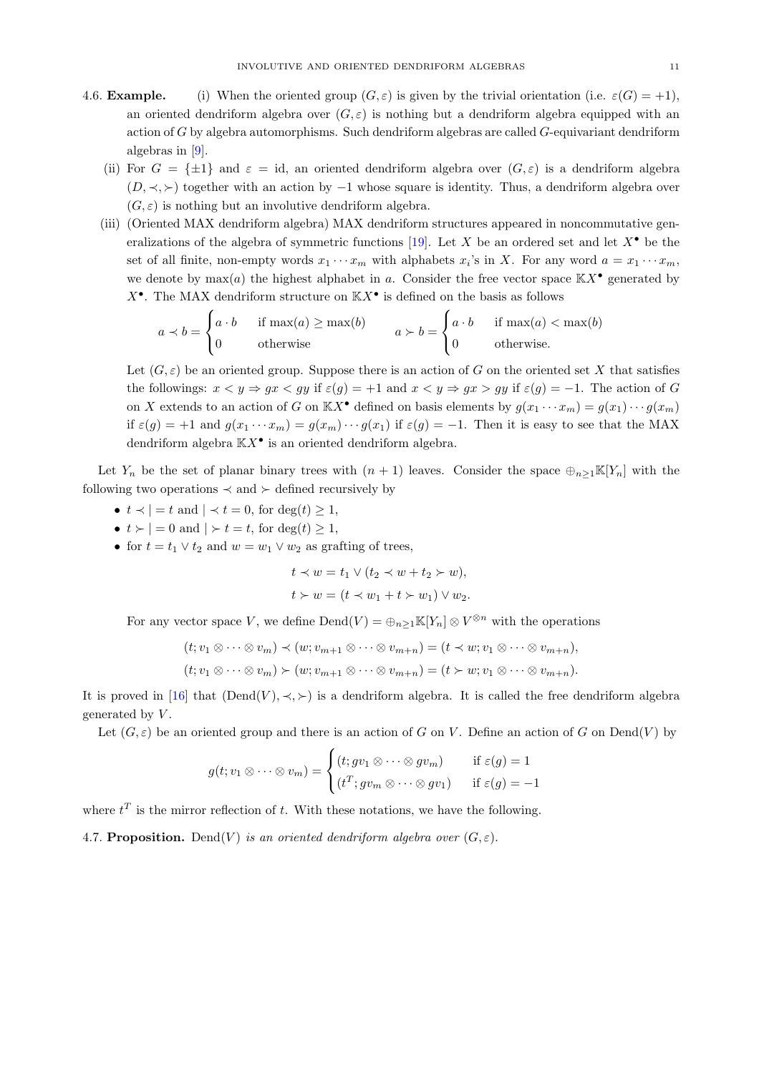- 4.6. **Example.** (i) When the oriented group  $(G, \varepsilon)$  is given by the trivial orientation (i.e.  $\varepsilon(G) = +1$ ), an oriented dendriform algebra over  $(G, \varepsilon)$  is nothing but a dendriform algebra equipped with an action of  $G$  by algebra automorphisms. Such dendriform algebras are called  $G$ -equivariant dendriform algebras in [\[9\]](#page-21-17).
	- (ii) For  $G = \{\pm 1\}$  and  $\varepsilon = id$ , an oriented dendriform algebra over  $(G, \varepsilon)$  is a dendriform algebra  $(D, \prec, \succ)$  together with an action by  $-1$  whose square is identity. Thus, a dendriform algebra over  $(G, \varepsilon)$  is nothing but an involutive dendriform algebra.
	- (iii) (Oriented MAX dendriform algebra) MAX dendriform structures appeared in noncommutative gen-eralizations of the algebra of symmetric functions [\[19\]](#page-21-18). Let X be an ordered set and let  $X^{\bullet}$  be the set of all finite, non-empty words  $x_1 \cdots x_m$  with alphabets  $x_i$ 's in X. For any word  $a = x_1 \cdots x_m$ , we denote by  $\max(a)$  the highest alphabet in a. Consider the free vector space  $\mathbb{K}X^{\bullet}$  generated by  $X^{\bullet}$ . The MAX dendriform structure on  $\mathbb{K}X^{\bullet}$  is defined on the basis as follows

$$
a \lt b = \begin{cases} a \cdot b & \text{if } \max(a) \ge \max(b) \\ 0 & \text{otherwise} \end{cases} \qquad a \succ b = \begin{cases} a \cdot b & \text{if } \max(a) < \max(b) \\ 0 & \text{otherwise.} \end{cases}
$$

Let  $(G, \varepsilon)$  be an oriented group. Suppose there is an action of G on the oriented set X that satisfies the followings:  $x < y \Rightarrow gx < gy$  if  $\varepsilon(g) = +1$  and  $x < y \Rightarrow gx > gy$  if  $\varepsilon(g) = -1$ . The action of G on X extends to an action of G on  $\mathbb{K}X^{\bullet}$  defined on basis elements by  $g(x_1 \cdots x_m) = g(x_1) \cdots g(x_m)$ if  $\varepsilon(g) = +1$  and  $g(x_1 \cdots x_m) = g(x_m) \cdots g(x_1)$  if  $\varepsilon(g) = -1$ . Then it is easy to see that the MAX dendriform algebra  $\mathbb{K}X^{\bullet}$  is an oriented dendriform algebra.

Let  $Y_n$  be the set of planar binary trees with  $(n + 1)$  leaves. Consider the space  $\bigoplus_{n>1}K[Y_n]$  with the following two operations  $\prec$  and  $\succ$  defined recursively by

- $t \prec$  | = t and |  $\prec$  t = 0, for deg(t) > 1,
- $t > |-0$  and  $| > t = t$ , for  $\deg(t) \geq 1$ ,
- for  $t = t_1 \vee t_2$  and  $w = w_1 \vee w_2$  as grafting of trees,

$$
t \prec w = t_1 \lor (t_2 \prec w + t_2 \succ w),
$$
  

$$
t \succ w = (t \prec w_1 + t \succ w_1) \lor w_2.
$$

For any vector space V, we define  $\text{Dend}(V) = \bigoplus_{n \geq 1} \mathbb{K}[Y_n] \otimes V^{\otimes n}$  with the operations

$$
(t; v_1 \otimes \cdots \otimes v_m) \prec (w; v_{m+1} \otimes \cdots \otimes v_{m+n}) = (t \prec w; v_1 \otimes \cdots \otimes v_{m+n}),
$$
  

$$
(t; v_1 \otimes \cdots \otimes v_m) \succ (w; v_{m+1} \otimes \cdots \otimes v_{m+n}) = (t \succ w; v_1 \otimes \cdots \otimes v_{m+n}).
$$

It is proved in [\[16\]](#page-21-6) that  $(Dend(V), \prec, \succ)$  is a dendriform algebra. It is called the free dendriform algebra generated by  $V$ .

Let  $(G, \varepsilon)$  be an oriented group and there is an action of G on V. Define an action of G on Dend(V) by

$$
g(t; v_1 \otimes \cdots \otimes v_m) = \begin{cases} (t; gv_1 \otimes \cdots \otimes gv_m) & \text{if } \varepsilon(g) = 1 \\ (t^T; gv_m \otimes \cdots \otimes gv_1) & \text{if } \varepsilon(g) = -1 \end{cases}
$$

where  $t^T$  is the mirror reflection of t. With these notations, we have the following.

4.7. Proposition. Dend(V) is an oriented dendriform algebra over  $(G, \varepsilon)$ .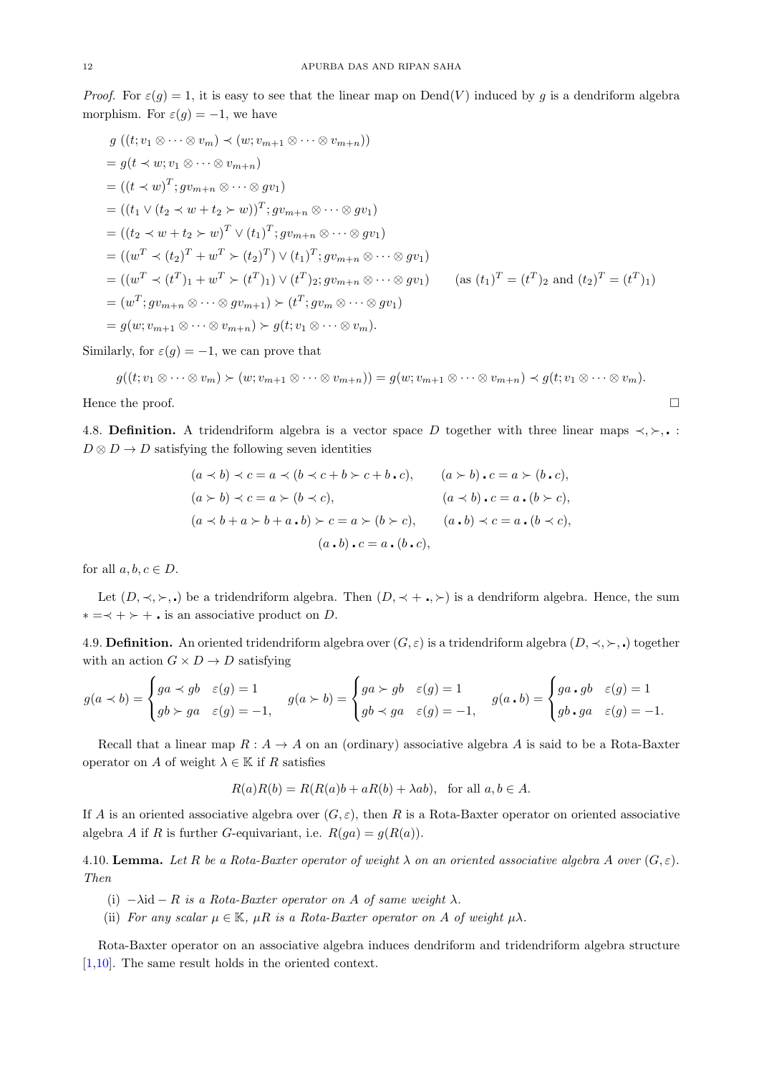*Proof.* For  $\varepsilon(g) = 1$ , it is easy to see that the linear map on Dend(V) induced by g is a dendriform algebra morphism. For  $\varepsilon(g) = -1$ , we have

$$
g((t; v_1 \otimes \cdots \otimes v_m) \prec (w; v_{m+1} \otimes \cdots \otimes v_{m+n}))
$$
  
\n
$$
= g(t \prec w; v_1 \otimes \cdots \otimes v_{m+n})
$$
  
\n
$$
= ((t \prec w)^T; g v_{m+n} \otimes \cdots \otimes g v_1)
$$
  
\n
$$
= ((t_1 \vee (t_2 \prec w + t_2 \succ w))^T; g v_{m+n} \otimes \cdots \otimes g v_1)
$$
  
\n
$$
= ((t_2 \prec w + t_2 \succ w)^T \vee (t_1)^T; g v_{m+n} \otimes \cdots \otimes g v_1)
$$
  
\n
$$
= ((w^T \prec (t_2)^T + w^T \succ (t_2)^T) \vee (t_1)^T; g v_{m+n} \otimes \cdots \otimes g v_1)
$$
  
\n
$$
= ((w^T \prec (t^T)_1 + w^T \succ (t^T)_1) \vee (t^T)_2; g v_{m+n} \otimes \cdots \otimes g v_1) \qquad (\text{as } (t_1)^T = (t^T)_2 \text{ and } (t_2)^T = (t^T)_1)
$$
  
\n
$$
= (w^T; g v_{m+n} \otimes \cdots \otimes g v_{m+1}) \succ (t^T; g v_m \otimes \cdots \otimes g v_1)
$$
  
\n
$$
= g(w; v_{m+1} \otimes \cdots \otimes v_{m+n}) \succ g(t; v_1 \otimes \cdots \otimes v_m).
$$

Similarly, for  $\varepsilon(g) = -1$ , we can prove that

$$
g((t; v_1 \otimes \cdots \otimes v_m) \succ (w; v_{m+1} \otimes \cdots \otimes v_{m+n})) = g(w; v_{m+1} \otimes \cdots \otimes v_{m+n}) \prec g(t; v_1 \otimes \cdots \otimes v_m).
$$

Hence the proof.  $\Box$ 

4.8. Definition. A tridendriform algebra is a vector space D together with three linear maps  $\prec, \succ, \ldots$  $D \otimes D \rightarrow D$  satisfying the following seven identities

$$
(a \times b) \times c = a \times (b \times c + b \times c + b \cdot c), \qquad (a \succ b) \cdot c = a \succ (b \cdot c),
$$
  
\n
$$
(a \succ b) \prec c = a \succ (b \prec c), \qquad (a \prec b) \cdot c = a \cdot (b \succ c),
$$
  
\n
$$
(a \prec b + a \succ b + a \cdot b) \succ c = a \succ (b \succ c), \qquad (a \cdot b) \prec c = a \cdot (b \prec c),
$$
  
\n
$$
(a \cdot b) \cdot c = a \cdot (b \cdot c), \qquad (a \cdot b) \prec c = a \cdot (b \prec c),
$$

for all  $a, b, c \in D$ .

Let  $(D, \prec, \succ, \cdot)$  be a tridendriform algebra. Then  $(D, \prec +, \succ)$  is a dendriform algebra. Hence, the sum ∗ =≺ + ≻ + . is an associative product on  $D$ .

4.9. **Definition.** An oriented tridendriform algebra over  $(G, \varepsilon)$  is a tridendriform algebra  $(D, \prec, \succ, \cdot)$  together with an action  $G \times D \to D$  satisfying

$$
g(a \prec b) = \begin{cases} ga \prec gb & \varepsilon(g) = 1 \\ gb \succ ga & \varepsilon(g) = -1, \end{cases} \quad g(a \succ b) = \begin{cases} ga \succ gb & \varepsilon(g) = 1 \\ gb \prec ga & \varepsilon(g) = -1, \end{cases} \quad g(a \centerdot b) = \begin{cases} ga \centerdot g a \centerdot g b & \varepsilon(g) = 1 \\ gb \centerdot g a \centerdot g c(g) = -1. \end{cases}
$$

Recall that a linear map  $R : A \to A$  on an (ordinary) associative algebra A is said to be a Rota-Baxter operator on A of weight  $\lambda \in \mathbb{K}$  if R satisfies

$$
R(a)R(b) = R(R(a)b + aR(b) + \lambda ab), \text{ for all } a, b \in A.
$$

If A is an oriented associative algebra over  $(G, \varepsilon)$ , then R is a Rota-Baxter operator on oriented associative algebra A if R is further G-equivariant, i.e.  $R(qa) = g(R(a))$ .

4.10. Lemma. Let R be a Rota-Baxter operator of weight  $\lambda$  on an oriented associative algebra A over  $(G, \varepsilon)$ . Then

(i)  $-\lambda$ id – R is a Rota-Baxter operator on A of same weight  $\lambda$ .

(ii) For any scalar  $\mu \in \mathbb{K}$ ,  $\mu R$  is a Rota-Baxter operator on A of weight  $\mu\lambda$ .

Rota-Baxter operator on an associative algebra induces dendriform and tridendriform algebra structure [\[1,](#page-21-8)[10\]](#page-21-19). The same result holds in the oriented context.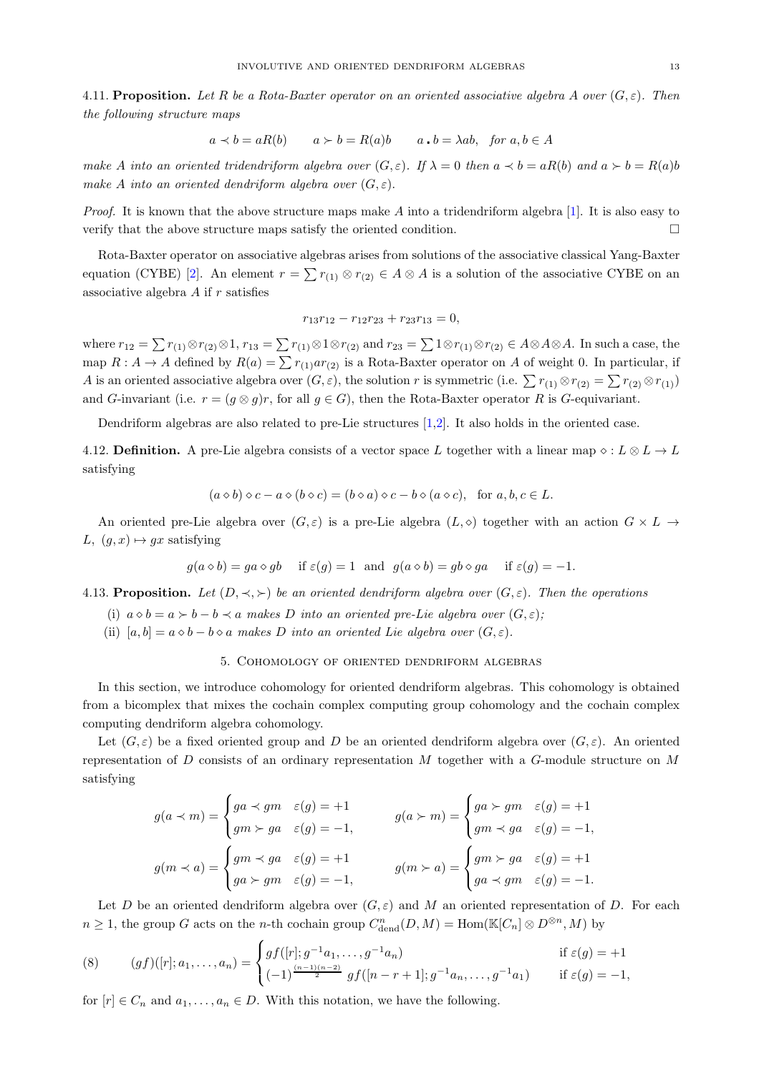4.11. Proposition. Let R be a Rota-Baxter operator on an oriented associative algebra A over  $(G, \varepsilon)$ . Then the following structure maps

$$
a \prec b = aR(b)
$$
  $a \succ b = R(a)b$   $a \cdot b = \lambda ab$ , for  $a, b \in A$ 

make A into an oriented tridendriform algebra over  $(G, \varepsilon)$ . If  $\lambda = 0$  then  $a \prec b = aR(b)$  and  $a \succ b = R(a)b$ make A into an oriented dendriform algebra over  $(G, \varepsilon)$ .

*Proof.* It is known that the above structure maps make A into a tridendriform algebra [\[1\]](#page-21-8). It is also easy to verify that the above structure maps satisfy the oriented condition.

Rota-Baxter operator on associative algebras arises from solutions of the associative classical Yang-Baxter equation (CYBE) [\[2\]](#page-21-20). An element  $r = \sum r_{(1)} \otimes r_{(2)} \in A \otimes A$  is a solution of the associative CYBE on an associative algebra  $A$  if  $r$  satisfies

$$
r_{13}r_{12} - r_{12}r_{23} + r_{23}r_{13} = 0,
$$

where  $r_{12} = \sum r_{(1)} \otimes r_{(2)} \otimes 1$ ,  $r_{13} = \sum r_{(1)} \otimes 1 \otimes r_{(2)}$  and  $r_{23} = \sum 1 \otimes r_{(1)} \otimes r_{(2)} \in A \otimes A \otimes A$ . In such a case, the map  $R: A \to A$  defined by  $R(a) = \sum r_{(1)} a r_{(2)}$  is a Rota-Baxter operator on A of weight 0. In particular, if A is an oriented associative algebra over  $(G, \varepsilon)$ , the solution r is symmetric (i.e.  $\sum r_{(1)} \otimes r_{(2)} = \sum r_{(2)} \otimes r_{(1)}$ ) and G-invariant (i.e.  $r = (g \otimes g)r$ , for all  $g \in G$ ), then the Rota-Baxter operator R is G-equivariant.

Dendriform algebras are also related to pre-Lie structures [\[1](#page-21-8)[,2\]](#page-21-20). It also holds in the oriented case.

4.12. Definition. A pre-Lie algebra consists of a vector space L together with a linear map  $\diamond: L \otimes L \to L$ satisfying

$$
(a \diamond b) \diamond c - a \diamond (b \diamond c) = (b \diamond a) \diamond c - b \diamond (a \diamond c), \text{ for } a, b, c \in L.
$$

An oriented pre-Lie algebra over  $(G, \varepsilon)$  is a pre-Lie algebra  $(L, \diamond)$  together with an action  $G \times L \rightarrow$ L,  $(g, x) \mapsto gx$  satisfying

$$
g(a \diamond b) = ga \diamond gb
$$
 if  $\varepsilon(g) = 1$  and  $g(a \diamond b) = gb \diamond ga$  if  $\varepsilon(g) = -1$ .

4.13. Proposition. Let  $(D, \prec, \succ)$  be an oriented dendriform algebra over  $(G, \varepsilon)$ . Then the operations

- (i)  $a \diamond b = a \succ b b \prec a$  makes D into an oriented pre-Lie algebra over  $(G, \varepsilon)$ ;
- <span id="page-12-0"></span>(ii)  $[a, b] = a \diamond b - b \diamond a$  makes D into an oriented Lie algebra over  $(G, \varepsilon)$ .

## 5. Cohomology of oriented dendriform algebras

In this section, we introduce cohomology for oriented dendriform algebras. This cohomology is obtained from a bicomplex that mixes the cochain complex computing group cohomology and the cochain complex computing dendriform algebra cohomology.

Let  $(G, \varepsilon)$  be a fixed oriented group and D be an oriented dendriform algebra over  $(G, \varepsilon)$ . An oriented representation of D consists of an ordinary representation M together with a G-module structure on M satisfying

$$
g(a \prec m) = \begin{cases} ga \prec gm & \varepsilon(g) = +1 \\ gm \succ ga & \varepsilon(g) = -1, \end{cases} \qquad g(a \succ m) = \begin{cases} ga \succ gm & \varepsilon(g) = +1 \\ gm \prec ga & \varepsilon(g) = -1, \end{cases}
$$

$$
g(m \prec a) = \begin{cases} gm \prec ga & \varepsilon(g) = +1 \\ ga \succ gm & \varepsilon(g) = -1, \end{cases} \qquad g(m \succ a) = \begin{cases} gm \succ ga & \varepsilon(g) = +1 \\ ga \prec gm & \varepsilon(g) = -1. \end{cases}
$$

Let D be an oriented dendriform algebra over  $(G, \varepsilon)$  and M an oriented representation of D. For each  $n \geq 1$ , the group G acts on the n-th cochain group  $C_{\text{dend}}^n(D, M) = \text{Hom}(\mathbb{K}[C_n] \otimes D^{\otimes n}, M)$  by

<span id="page-12-1"></span>(8) 
$$
(gf)([r]; a_1, \dots, a_n) = \begin{cases} gf([r]; g^{-1}a_1, \dots, g^{-1}a_n) & \text{if } \varepsilon(g) = +1 \\ (-1)^{\frac{(n-1)(n-2)}{2}} gf([n-r+1]; g^{-1}a_n, \dots, g^{-1}a_1) & \text{if } \varepsilon(g) = -1, \end{cases}
$$

for  $[r] \in C_n$  and  $a_1, \ldots, a_n \in D$ . With this notation, we have the following.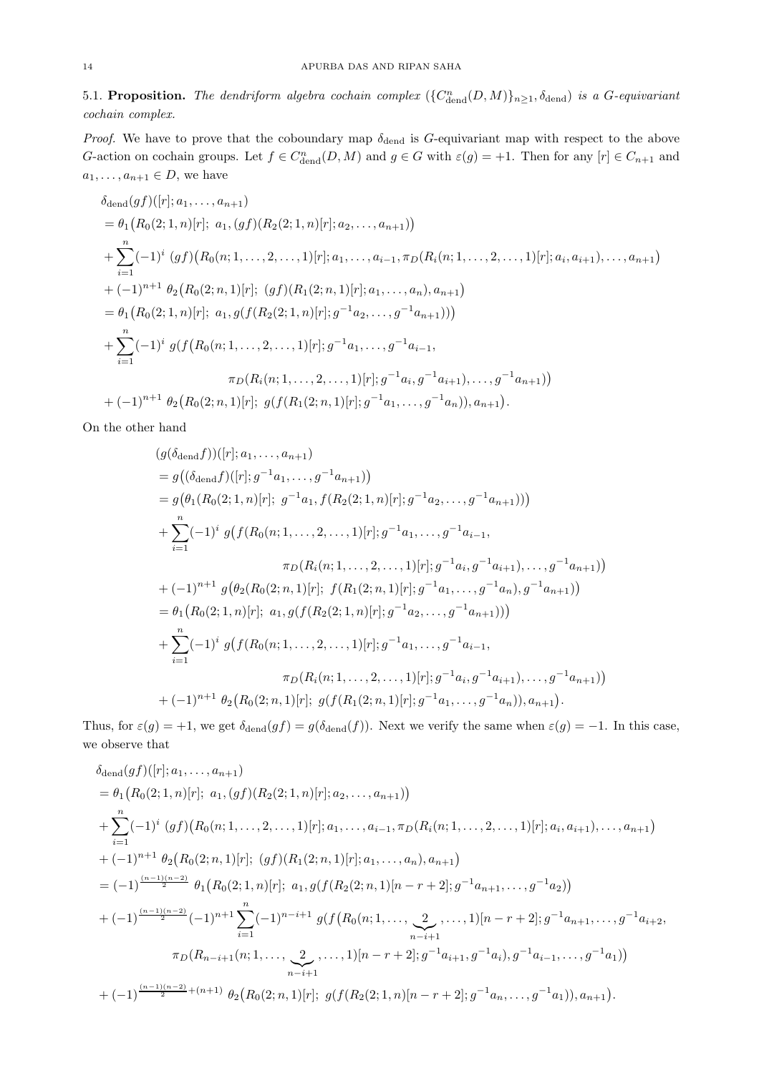5.1. Proposition. The dendriform algebra cochain complex  $(\{C^n_{\text{dend}}(D, M)\}_{n\geq 1}$ ,  $\delta_{\text{dend}})$  is a G-equivariant cochain complex.

Proof. We have to prove that the coboundary map  $\delta_{\text{dend}}$  is G-equivariant map with respect to the above G-action on cochain groups. Let  $f \in C_{\text{dend}}^n(D, M)$  and  $g \in G$  with  $\varepsilon(g) = +1$ . Then for any  $[r] \in C_{n+1}$  and  $a_1, \ldots, a_{n+1} \in D$ , we have

$$
\delta_{\text{dend}}(gf)([r]; a_1, \ldots, a_{n+1})
$$
\n
$$
= \theta_1(R_0(2; 1, n)[r]; a_1, (gf)(R_2(2; 1, n)[r]; a_2, \ldots, a_{n+1}))
$$
\n
$$
+ \sum_{i=1}^n (-1)^i (gf)(R_0(n; 1, \ldots, 2, \ldots, 1)[r]; a_1, \ldots, a_{i-1}, \pi_D(R_i(n; 1, \ldots, 2, \ldots, 1)[r]; a_i, a_{i+1}), \ldots, a_{n+1})
$$
\n
$$
+ (-1)^{n+1} \theta_2(R_0(2; n, 1)[r]; (gf)(R_1(2; n, 1)[r]; a_1, \ldots, a_n), a_{n+1})
$$
\n
$$
= \theta_1(R_0(2; 1, n)[r]; a_1, g(f(R_2(2; 1, n)[r]; g^{-1}a_2, \ldots, g^{-1}a_{n+1})))
$$
\n
$$
+ \sum_{i=1}^n (-1)^i g(f(R_0(n; 1, \ldots, 2, \ldots, 1)[r]; g^{-1}a_1, \ldots, g^{-1}a_{i-1},
$$
\n
$$
\pi_D(R_i(n; 1, \ldots, 2, \ldots, 1)[r]; g^{-1}a_i, g^{-1}a_{i+1}), \ldots, g^{-1}a_{n+1}))
$$
\n
$$
+ (-1)^{n+1} \theta_2(R_0(2; n, 1)[r]; g(f(R_1(2; n, 1)[r]; g^{-1}a_1, \ldots, g^{-1}a_n)), a_{n+1}).
$$

On the other hand

$$
(g(\delta_{\text{dend}}f))([r]; a_1, ..., a_{n+1})
$$
  
=  $g((\delta_{\text{dend}}f)([r]; g^{-1}a_1, ..., g^{-1}a_{n+1}))$   
=  $g(\theta_1(R_0(2; 1, n)[r]; g^{-1}a_1, f(R_2(2; 1, n)[r]; g^{-1}a_2, ..., g^{-1}a_{n+1})))$   
+  $\sum_{i=1}^n (-1)^i g(f(R_0(n; 1, ..., 2, ..., 1)[r]; g^{-1}a_1, ..., g^{-1}a_{i-1},$   
 $\pi_D(R_i(n; 1, ..., 2, ..., 1)[r]; g^{-1}a_i, g^{-1}a_{i+1}), ..., g^{-1}a_{n+1}))$   
+  $(-1)^{n+1} g(\theta_2(R_0(2; n, 1)[r]; f(R_1(2; n, 1)[r]; g^{-1}a_1, ..., g^{-1}a_n), g^{-1}a_{n+1}))$   
=  $\theta_1(R_0(2; 1, n)[r]; a_1, g(f(R_2(2; 1, n)[r]; g^{-1}a_2, ..., g^{-1}a_{n+1})))$   
+  $\sum_{i=1}^n (-1)^i g(f(R_0(n; 1, ..., 2, ..., 1)[r]; g^{-1}a_1, ..., g^{-1}a_{i-1},$   
 $\pi_D(R_i(n; 1, ..., 2, ..., 1)[r]; g^{-1}a_i, g^{-1}a_{i+1}), ..., g^{-1}a_{n+1}))$   
+  $(-1)^{n+1} \theta_2(R_0(2; n, 1)[r]; g(f(R_1(2; n, 1)[r]; g^{-1}a_1, ..., g^{-1}a_n)), a_{n+1}).$ 

Thus, for  $\varepsilon(g) = +1$ , we get  $\delta_{\text{dend}}(gf) = g(\delta_{\text{dend}}(f))$ . Next we verify the same when  $\varepsilon(g) = -1$ . In this case, we observe that

δdend(gf)([r]; a1, . . . , a<sup>n</sup>+1) = θ<sup>1</sup> R0(2; 1, n)[r]; a1,(gf)(R2(2; 1, n)[r]; a2, . . . , a<sup>n</sup>+1) + Xn i=1 (−1)<sup>i</sup> (gf) R0(n; 1, . . . , 2, . . . , 1)[r]; a1, . . . , a<sup>i</sup>−1, πD(Ri(n; 1, . . . , 2, . . . , 1)[r]; a<sup>i</sup> , ai+1), . . . , an+1 + (−1)<sup>n</sup>+1 θ<sup>2</sup> R0(2; n, 1)[r]; (gf)(R1(2; n, 1)[r]; a1, . . . , an), a<sup>n</sup>+1 = (−1) (n−1)(n−2) <sup>2</sup> θ<sup>1</sup> R0(2; 1, n)[r]; a1, g(f(R2(2; n, 1)[n − r + 2]; g −1 an+1, . . . , g−<sup>1</sup> a2) + (−1) (n−1)(n−2) <sup>2</sup> (−1)<sup>n</sup>+1X<sup>n</sup> i=1 (−1)<sup>n</sup>−i+1 g(f R0(n; 1, . . . , 2 |{z} n−i+1 , . . . , 1)[n − r + 2]; g −1 an+1, . . . , g<sup>−</sup><sup>1</sup> a<sup>i</sup>+2, πD(R<sup>n</sup>−i+1(n; 1, . . . , 2 |{z} n−i+1 , . . . , 1)[n − r + 2]; g −1 ai+1, g<sup>−</sup><sup>1</sup> ai), g<sup>−</sup><sup>1</sup> ai−1, . . . , g<sup>−</sup><sup>1</sup> a1) + (−1) (n−1)(n−2) <sup>2</sup> +(n+1) θ<sup>2</sup> R0(2; n, 1)[r]; g(f(R2(2; 1, n)[n − r + 2]; g −1 an, . . . , g<sup>−</sup><sup>1</sup> a1)), an+1 .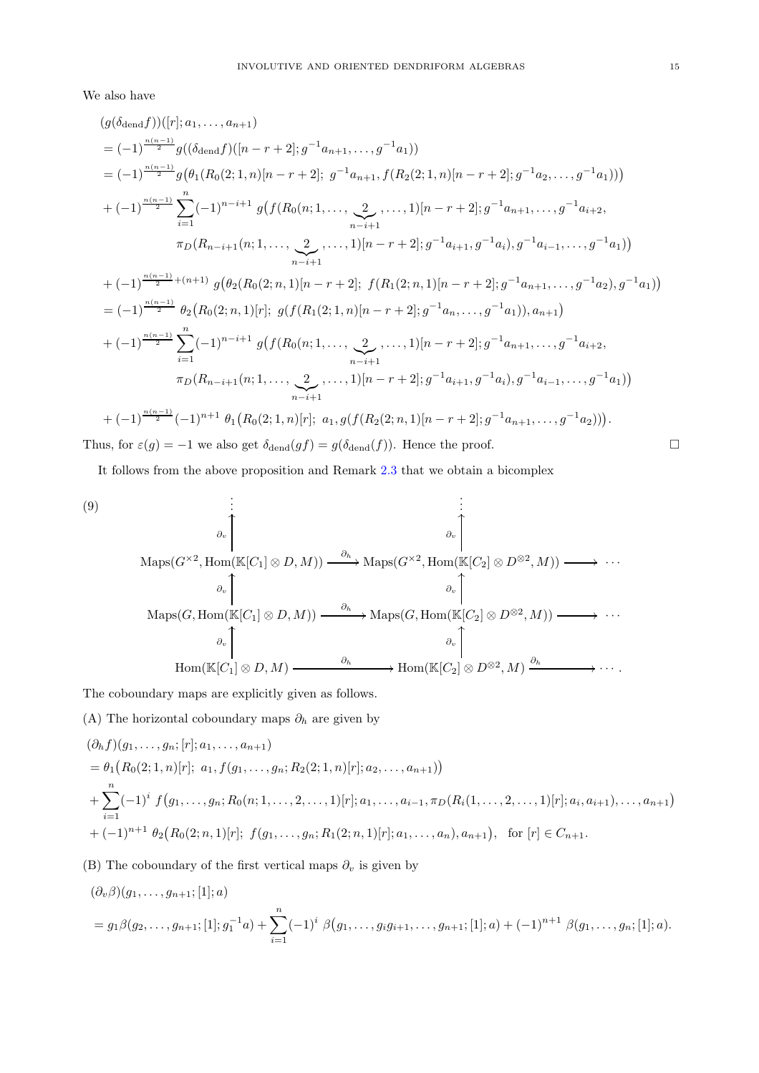We also have

$$
(g(\delta_{\text{den}}f))([r]; a_1, \ldots, a_{n+1})
$$
\n
$$
= (-1)^{\frac{n(n-1)}{2}} g((\delta_{\text{den}}f)([n-r+2]; g^{-1}a_{n+1}, \ldots, g^{-1}a_1))
$$
\n
$$
= (-1)^{\frac{n(n-1)}{2}} g(\theta_1(R_0(2; 1, n)[n-r+2]; g^{-1}a_{n+1}, f(R_2(2; 1, n)[n-r+2]; g^{-1}a_2, \ldots, g^{-1}a_1)))
$$
\n
$$
+ (-1)^{\frac{n(n-1)}{2}} \sum_{i=1}^n (-1)^{n-i+1} g(f(R_0(n; 1, \ldots, \underbrace{2}_{n-i+1}, \ldots, 1)[n-r+2]; g^{-1}a_{n+1}, \ldots, g^{-1}a_{i+2},
$$
\n
$$
\pi_D(R_{n-i+1}(n; 1, \ldots, \underbrace{2}_{n-i+1}, \ldots, 1)[n-r+2]; g^{-1}a_{i+1}, g^{-1}a_i), g^{-1}a_{i-1}, \ldots, g^{-1}a_1))
$$
\n
$$
+ (-1)^{\frac{n(n-1)}{2} + (n+1)} g(\theta_2(R_0(2; n, 1)[n-r+2]; f(R_1(2; n, 1)[n-r+2]; g^{-1}a_{n+1}, \ldots, g^{-1}a_2), g^{-1}a_1))
$$
\n
$$
= (-1)^{\frac{n(n-1)}{2}} \theta_2(R_0(2; n, 1)[r]; g(f(R_1(2; 1, n)[n-r+2]; g^{-1}a_n, \ldots, g^{-1}a_1)), a_{n+1})
$$
\n
$$
+ (-1)^{\frac{n(n-1)}{2}} \sum_{i=1}^n (-1)^{n-i+1} g(f(R_0(n; 1, \ldots, \underbrace{2}_{n-i+1}, \ldots, 1)[n-r+2]; g^{-1}a_{n+1}, \ldots, g^{-1}a_{i+2},
$$
\n
$$
\pi_D(R_{n-i+1}(n; 1, \ldots, \underbrace{2}_{n-i+1}, \ldots, 1)[r]; g(f(R_2(2; n, 1)[n-r+2]; g^{-1}a_{n+1}, \ldots, g^{-1}a_1))
$$
\n<math display="block</math>

Thus, for  $\varepsilon(g) = -1$  we also get  $\delta_{\text{dend}}(gf) = g(\delta_{\text{dend}}(f))$ . Hence the proof.

It follows from the above proposition and Remark [2.3](#page-3-4) that we obtain a bicomplex

<span id="page-14-0"></span>(9)  
\n
$$
\vdots
$$
\n
$$
\vdots
$$
\n
$$
\partial_v \downarrow
$$
\n
$$
\text{Maps}(G^{\times 2}, \text{Hom}(\mathbb{K}[C_1] \otimes D, M)) \xrightarrow{\partial_h} \text{Maps}(G^{\times 2}, \text{Hom}(\mathbb{K}[C_2] \otimes D^{\otimes 2}, M)) \longrightarrow \cdots
$$
\n
$$
\vdots
$$
\n
$$
\vdots
$$
\n
$$
\vdots
$$
\n
$$
\vdots
$$
\n
$$
\vdots
$$
\n
$$
\vdots
$$
\n
$$
\vdots
$$
\n
$$
\vdots
$$
\n
$$
\vdots
$$
\n
$$
\vdots
$$
\n
$$
\vdots
$$
\n
$$
\vdots
$$
\n
$$
\vdots
$$
\n
$$
\vdots
$$
\n
$$
\vdots
$$
\n
$$
\vdots
$$
\n
$$
\vdots
$$
\n
$$
\vdots
$$
\n
$$
\vdots
$$
\n
$$
\vdots
$$
\n
$$
\vdots
$$
\n
$$
\vdots
$$
\n
$$
\vdots
$$
\n
$$
\vdots
$$
\n
$$
\vdots
$$
\n
$$
\vdots
$$
\n
$$
\vdots
$$
\n
$$
\vdots
$$
\n
$$
\vdots
$$
\n
$$
\vdots
$$
\n
$$
\vdots
$$
\n
$$
\vdots
$$
\n
$$
\vdots
$$
\n
$$
\vdots
$$
\n
$$
\vdots
$$
\n
$$
\vdots
$$
\n
$$
\vdots
$$
\n
$$
\vdots
$$
\n
$$
\vdots
$$
\n
$$
\vdots
$$
\n
$$
\vdots
$$
\n
$$
\vdots
$$
\n
$$
\vdots
$$
\n
$$
\vdots
$$
\n
$$
\vdots
$$
\n
$$
\vdots
$$
\n
$$
\vdots
$$
\n
$$
\vdots
$$
\n
$$
\vdots
$$
\n
$$
\vdots
$$
\n
$$
\vdots
$$
\n
$$
\vdots
$$
\n<

The coboundary maps are explicitly given as follows.

(A) The horizontal coboundary maps  $\partial_h$  are given by

$$
(\partial_h f)(g_1, \ldots, g_n; [r]; a_1, \ldots, a_{n+1})
$$
  
=  $\theta_1 (R_0(2; 1, n)[r]; a_1, f(g_1, \ldots, g_n; R_2(2; 1, n)[r]; a_2, \ldots, a_{n+1}))$   
+  $\sum_{i=1}^n (-1)^i f(g_1, \ldots, g_n; R_0(n; 1, \ldots, 2, \ldots, 1)[r]; a_1, \ldots, a_{i-1}, \pi_D(R_i(1, \ldots, 2, \ldots, 1)[r]; a_i, a_{i+1}), \ldots, a_{n+1})$   
+  $(-1)^{n+1} \theta_2 (R_0(2; n, 1)[r]; f(g_1, \ldots, g_n; R_1(2; n, 1)[r]; a_1, \ldots, a_n), a_{n+1}), \text{ for } [r] \in C_{n+1}.$ 

(B) The coboundary of the first vertical maps  $\partial_v$  is given by

$$
(\partial_v \beta)(g_1, \dots, g_{n+1}; [1]; a)
$$
  
=  $g_1 \beta(g_2, \dots, g_{n+1}; [1]; g_1^{-1}a) + \sum_{i=1}^n (-1)^i \beta(g_1, \dots, g_i g_{i+1}, \dots, g_{n+1}; [1]; a) + (-1)^{n+1} \beta(g_1, \dots, g_n; [1]; a).$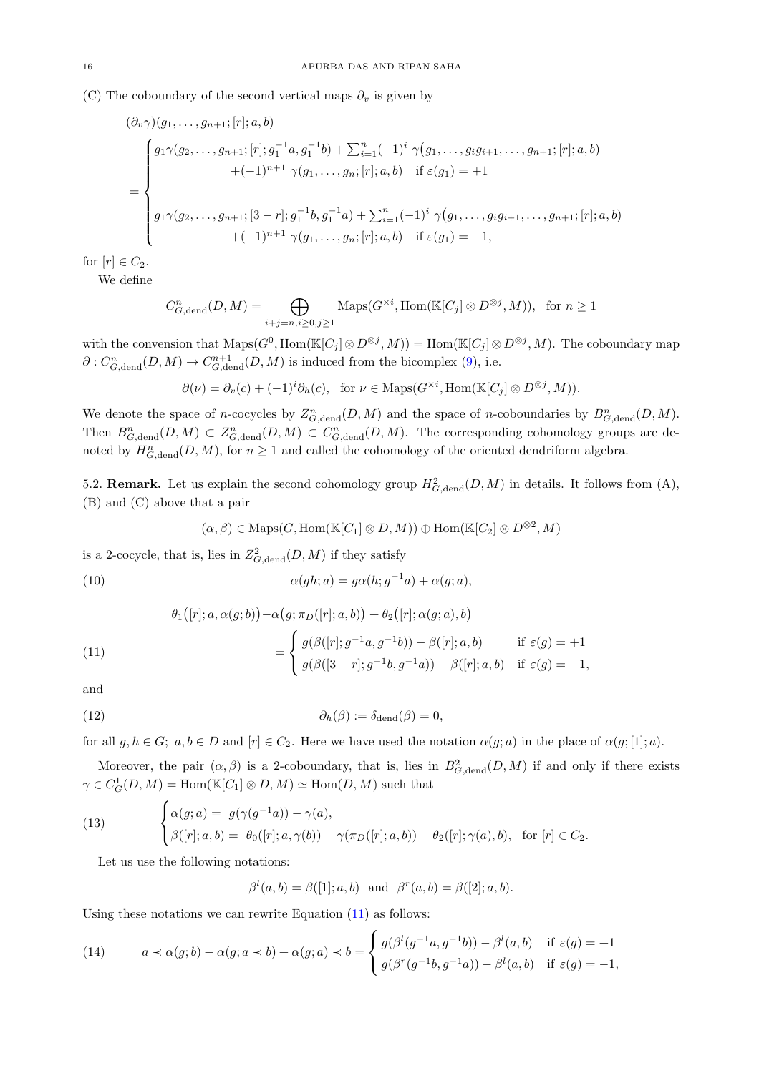(C) The coboundary of the second vertical maps  $\partial_v$  is given by

$$
(\partial_v \gamma)(g_1, \ldots, g_{n+1}; [r]; a, b)
$$
\n
$$
= \begin{cases}\n g_1 \gamma(g_2, \ldots, g_{n+1}; [r]; g_1^{-1} a, g_1^{-1} b) + \sum_{i=1}^n (-1)^i \gamma(g_1, \ldots, g_i g_{i+1}, \ldots, g_{n+1}; [r]; a, b) \\
\quad + (-1)^{n+1} \gamma(g_1, \ldots, g_n; [r]; a, b) \quad \text{if } \varepsilon(g_1) = +1\n \end{cases}
$$
\n
$$
g_1 \gamma(g_2, \ldots, g_{n+1}; [3-r]; g_1^{-1} b, g_1^{-1} a) + \sum_{i=1}^n (-1)^i \gamma(g_1, \ldots, g_i g_{i+1}, \ldots, g_{n+1}; [r]; a, b) \\
\quad + (-1)^{n+1} \gamma(g_1, \ldots, g_n; [r]; a, b) \quad \text{if } \varepsilon(g_1) = -1,\n \end{cases}
$$

for  $[r] \in C_2$ .

We define

$$
C_{G,\text{dend}}^n(D,M) = \bigoplus_{i+j=n, i\geq 0, j\geq 1} \text{Maps}(G^{\times i}, \text{Hom}(\mathbb{K}[C_j] \otimes D^{\otimes j}, M)), \text{ for } n \geq 1
$$

with the convension that  $\text{Maps}(G^0, \text{Hom}(\mathbb{K}[C_j] \otimes D^{\otimes j}, M)) = \text{Hom}(\mathbb{K}[C_j] \otimes D^{\otimes j}, M)$ . The coboundary map  $\partial: C_{G,\text{dend}}^n(D,M) \to C_{G,\text{dend}}^{n+1}(D,M)$  is induced from the bicomplex [\(9\)](#page-14-0), i.e.

$$
\partial(\nu) = \partial_{\nu}(c) + (-1)^{i} \partial_{h}(c), \text{ for } \nu \in \text{Maps}(G^{\times i}, \text{Hom}(\mathbb{K}[C_{j}] \otimes D^{\otimes j}, M)).
$$

We denote the space of n-cocycles by  $Z_{G,\text{dend}}^n(D,M)$  and the space of n-coboundaries by  $B_{G,\text{dend}}^n(D,M)$ . Then  $B_{G,\text{dend}}^n(D,M) \subset Z_{G,\text{dend}}^n(D,M) \subset C_{G,\text{dend}}^n(D,M)$ . The corresponding cohomology groups are denoted by  $H_{G,\text{dend}}^n(D,M)$ , for  $n \geq 1$  and called the cohomology of the oriented dendriform algebra.

5.2. **Remark.** Let us explain the second cohomology group  $H^2_{G,\text{dend}}(D, M)$  in details. It follows from (A), (B) and (C) above that a pair

$$
(\alpha, \beta) \in \text{Maps}(G, \text{Hom}(\mathbb{K}[C_1] \otimes D, M)) \oplus \text{Hom}(\mathbb{K}[C_2] \otimes D^{\otimes 2}, M)
$$

is a 2-cocycle, that is, lies in  $Z^2_{G,\text{dend}}(D,M)$  if they satisfy

<span id="page-15-2"></span>(10) 
$$
\alpha(gh; a) = g\alpha(h; g^{-1}a) + \alpha(g; a),
$$

$$
\theta_1([r]; a, \alpha(g;b)) - \alpha(g; \pi_D([r]; a, b)) + \theta_2([r]; \alpha(g;a), b)
$$

<span id="page-15-0"></span>(11) 
$$
= \begin{cases} g(\beta([r]; g^{-1}a, g^{-1}b)) - \beta([r]; a, b) & \text{if } \varepsilon(g) = +1 \\ g(\beta([3-r]; g^{-1}b, g^{-1}a)) - \beta([r]; a, b) & \text{if } \varepsilon(g) = -1, \end{cases}
$$

and

<span id="page-15-3"></span>(12) 
$$
\partial_h(\beta) := \delta_{\text{dend}}(\beta) = 0,
$$

for all  $g, h \in G$ ;  $a, b \in D$  and  $[r] \in C_2$ . Here we have used the notation  $\alpha(g; a)$  in the place of  $\alpha(g; [1]; a)$ .

Moreover, the pair  $(\alpha, \beta)$  is a 2-coboundary, that is, lies in  $B_{G,\text{dend}}^2(D, M)$  if and only if there exists  $\gamma \in C_G^1(D, M) = \text{Hom}(\mathbb{K}[C_1] \otimes D, M) \simeq \text{Hom}(D, M)$  such that

<span id="page-15-4"></span>(13) 
$$
\begin{cases} \alpha(g;a) = g(\gamma(g^{-1}a)) - \gamma(a), \\ \beta([r]; a, b) = \theta_0([r]; a, \gamma(b)) - \gamma(\pi_D([r]; a, b)) + \theta_2([r]; \gamma(a), b), \text{ for } [r] \in C_2. \end{cases}
$$

Let us use the following notations:

$$
\beta^l(a,b) = \beta([1]; a, b)
$$
 and  $\beta^r(a,b) = \beta([2]; a, b)$ .

Using these notations we can rewrite Equation  $(11)$  as follows:

<span id="page-15-1"></span>(14) 
$$
a \prec \alpha(g;b) - \alpha(g;a \prec b) + \alpha(g;a) \prec b = \begin{cases} g(\beta^l(g^{-1}a,g^{-1}b)) - \beta^l(a,b) & \text{if } \varepsilon(g) = +1 \\ g(\beta^r(g^{-1}b,g^{-1}a)) - \beta^l(a,b) & \text{if } \varepsilon(g) = -1, \end{cases}
$$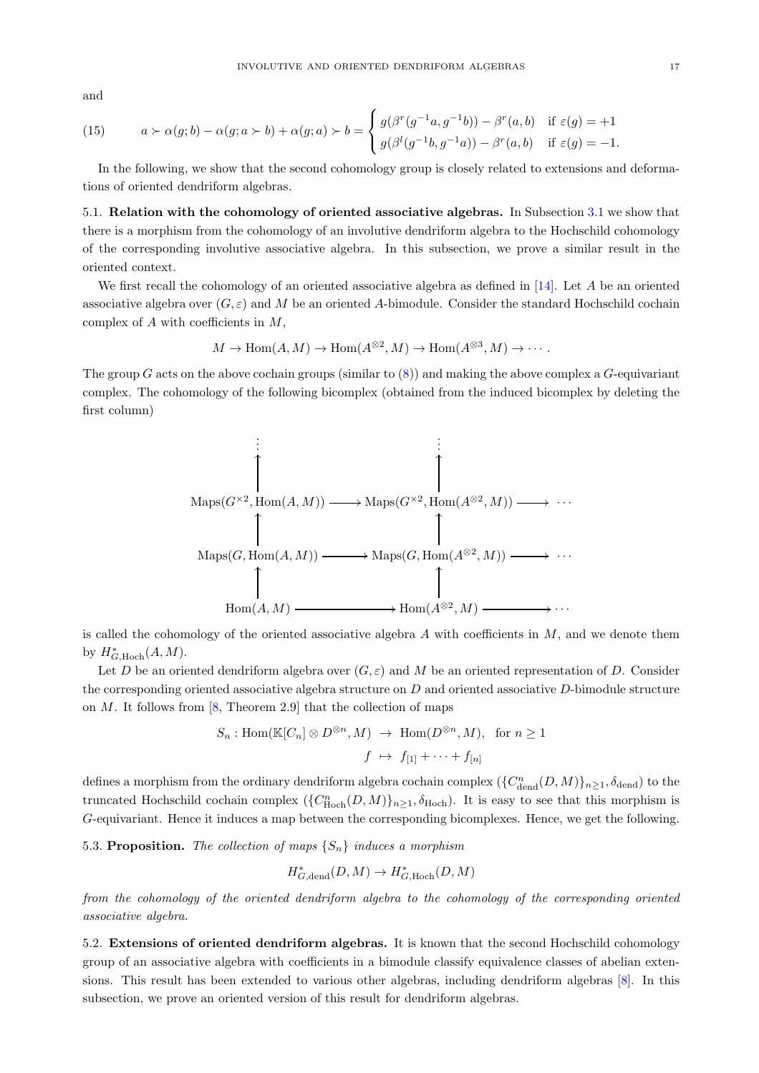and

(15) 
$$
a \succ \alpha(g;b) - \alpha(g;a \succ b) + \alpha(g;a) \succ b = \begin{cases} g(\beta^r(g^{-1}a,g^{-1}b)) - \beta^r(a,b) & \text{if } \varepsilon(g) = +1 \\ g(\beta^l(g^{-1}b,g^{-1}a)) - \beta^r(a,b) & \text{if } \varepsilon(g) = -1. \end{cases}
$$

<span id="page-16-0"></span>In the following, we show that the second cohomology group is closely related to extensions and deformations of oriented dendriform algebras.

5.1. Relation with the cohomology of oriented associative algebras. In Subsection [3.1](#page-3-2) we show that there is a morphism from the cohomology of an involutive dendriform algebra to the Hochschild cohomology of the corresponding involutive associative algebra. In this subsection, we prove a similar result in the oriented context.

We first recall the cohomology of an oriented associative algebra as defined in  $[14]$ . Let A be an oriented associative algebra over  $(G, \varepsilon)$  and M be an oriented A-bimodule. Consider the standard Hochschild cochain complex of  $A$  with coefficients in  $M$ ,

$$
M \to \text{Hom}(A, M) \to \text{Hom}(A^{\otimes 2}, M) \to \text{Hom}(A^{\otimes 3}, M) \to \cdots
$$

The group G acts on the above cochain groups (similar to  $(8)$ ) and making the above complex a G-equivariant complex. The cohomology of the following bicomplex (obtained from the induced bicomplex by deleting the first column)



is called the cohomology of the oriented associative algebra  $A$  with coefficients in  $M$ , and we denote them by  $H^*_{G,\text{Hoch}}(A,M)$ .

Let D be an oriented dendriform algebra over  $(G, \varepsilon)$  and M be an oriented representation of D. Consider the corresponding oriented associative algebra structure on  $D$  and oriented associative  $D$ -bimodule structure on  $M$ . It follows from [\[8,](#page-21-7) Theorem 2.9] that the collection of maps

$$
S_n: \text{Hom}(\mathbb{K}[C_n] \otimes D^{\otimes n}, M) \to \text{Hom}(D^{\otimes n}, M), \text{ for } n \ge 1
$$
  

$$
f \mapsto f_{[1]} + \cdots + f_{[n]}
$$

defines a morphism from the ordinary dendriform algebra cochain complex  $(\{C^n_{\text{dend}}(D, M)\}_{n \geq 1}$ ,  $\delta_{\text{dend}})$  to the truncated Hochschild cochain complex  $(\{C^n_{\text{Hoch}}(D, M)\}_{n\geq 1}, \delta_{\text{Hoch}})$ . It is easy to see that this morphism is G-equivariant. Hence it induces a map between the corresponding bicomplexes. Hence, we get the following.

<span id="page-16-2"></span>5.3. Proposition. The collection of maps  $\{S_n\}$  induces a morphism

$$
H^*_{G,\mathrm{dend}}(D,M)\to H^*_{G,\mathrm{Hoch}}(D,M)
$$

from the cohomology of the oriented dendriform algebra to the cohomology of the corresponding oriented associative algebra.

<span id="page-16-1"></span>5.2. Extensions of oriented dendriform algebras. It is known that the second Hochschild cohomology group of an associative algebra with coefficients in a bimodule classify equivalence classes of abelian extensions. This result has been extended to various other algebras, including dendriform algebras [\[8\]](#page-21-7). In this subsection, we prove an oriented version of this result for dendriform algebras.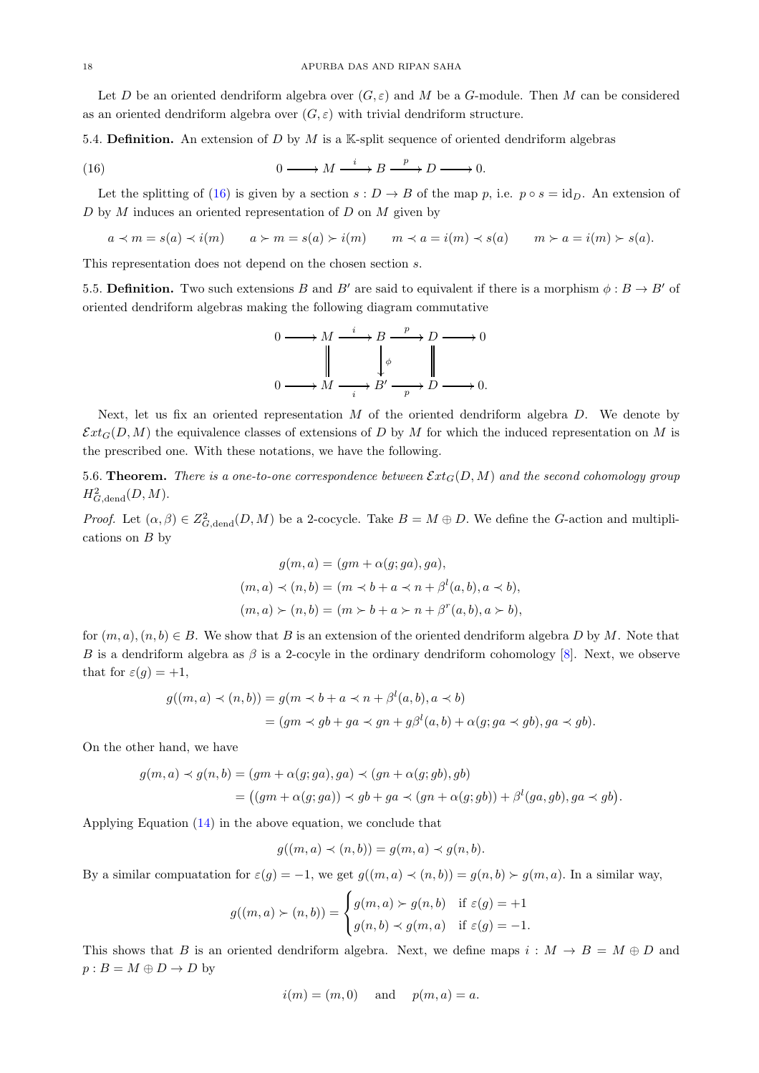Let D be an oriented dendriform algebra over  $(G, \varepsilon)$  and M be a G-module. Then M can be considered as an oriented dendriform algebra over  $(G, \varepsilon)$  with trivial dendriform structure.

5.4. **Definition.** An extension of D by M is a K-split sequence of oriented dendriform algebras

<span id="page-17-1"></span>(16) 
$$
0 \longrightarrow M \xrightarrow{i} B \xrightarrow{p} D \longrightarrow 0.
$$

Let the splitting of [\(16\)](#page-17-1) is given by a section  $s: D \to B$  of the map p, i.e.  $p \circ s = id_D$ . An extension of D by M induces an oriented representation of D on M given by

$$
a \prec m = s(a) \prec i(m) \qquad a \succ m = s(a) \succ i(m) \qquad m \prec a = i(m) \prec s(a) \qquad m \succ a = i(m) \succ s(a).
$$

This representation does not depend on the chosen section s.

5.5. Definition. Two such extensions B and B' are said to equivalent if there is a morphism  $\phi : B \to B'$  of oriented dendriform algebras making the following diagram commutative



Next, let us fix an oriented representation  $M$  of the oriented dendriform algebra  $D$ . We denote by  $\mathcal{E}xt_G(D,M)$  the equivalence classes of extensions of D by M for which the induced representation on M is the prescribed one. With these notations, we have the following.

<span id="page-17-0"></span>5.6. Theorem. There is a one-to-one correspondence between  $\mathcal{E}xt_G(D, M)$  and the second cohomology group  $H^2_{G,\text{dend}}(D,M).$ 

*Proof.* Let  $(\alpha, \beta) \in Z^2_{G,\text{dend}}(D, M)$  be a 2-cocycle. Take  $B = M \oplus D$ . We define the G-action and multiplications on  $B$  by

$$
g(m, a) = (gm + \alpha(g; ga), ga),
$$
  
\n
$$
(m, a) \prec (n, b) = (m \prec b + a \prec n + \beta^l(a, b), a \prec b),
$$
  
\n
$$
(m, a) \succ (n, b) = (m \succ b + a \succ n + \beta^r(a, b), a \succ b),
$$

for  $(m, a), (n, b) \in B$ . We show that B is an extension of the oriented dendriform algebra D by M. Note that B is a dendriform algebra as  $\beta$  is a 2-cocyle in the ordinary dendriform cohomology [\[8\]](#page-21-7). Next, we observe that for  $\varepsilon(g) = +1$ ,

$$
g((m, a) \prec (n, b)) = g(m \prec b + a \prec n + \beta^l(a, b), a \prec b)
$$
  
= 
$$
(gm \prec gb + ga \prec gn + g\beta^l(a, b) + \alpha(g; ga \prec gb), ga \prec gb).
$$

On the other hand, we have

$$
g(m, a) \prec g(n, b) = (gm + \alpha(g; ga), ga) \prec (gn + \alpha(g; gb), gb)
$$
  
= ((gm + \alpha(g; ga)) \prec gb + ga \prec (gn + \alpha(g; gb)) + \beta^l(ga, gb), ga \prec gb).

Applying Equation [\(14\)](#page-15-1) in the above equation, we conclude that

$$
g((m, a) \prec (n, b)) = g(m, a) \prec g(n, b).
$$

By a similar computation for  $\varepsilon(g) = -1$ , we get  $g((m, a) \prec (n, b)) = g(n, b) \succ g(m, a)$ . In a similar way,

$$
g((m, a) \succ (n, b)) = \begin{cases} g(m, a) \succ g(n, b) & \text{if } \varepsilon(g) = +1 \\ g(n, b) \prec g(m, a) & \text{if } \varepsilon(g) = -1. \end{cases}
$$

This shows that B is an oriented dendriform algebra. Next, we define maps  $i : M \to B = M \oplus D$  and  $p : B = M \oplus D \rightarrow D$  by

$$
i(m) = (m, 0) \quad \text{and} \quad p(m, a) = a.
$$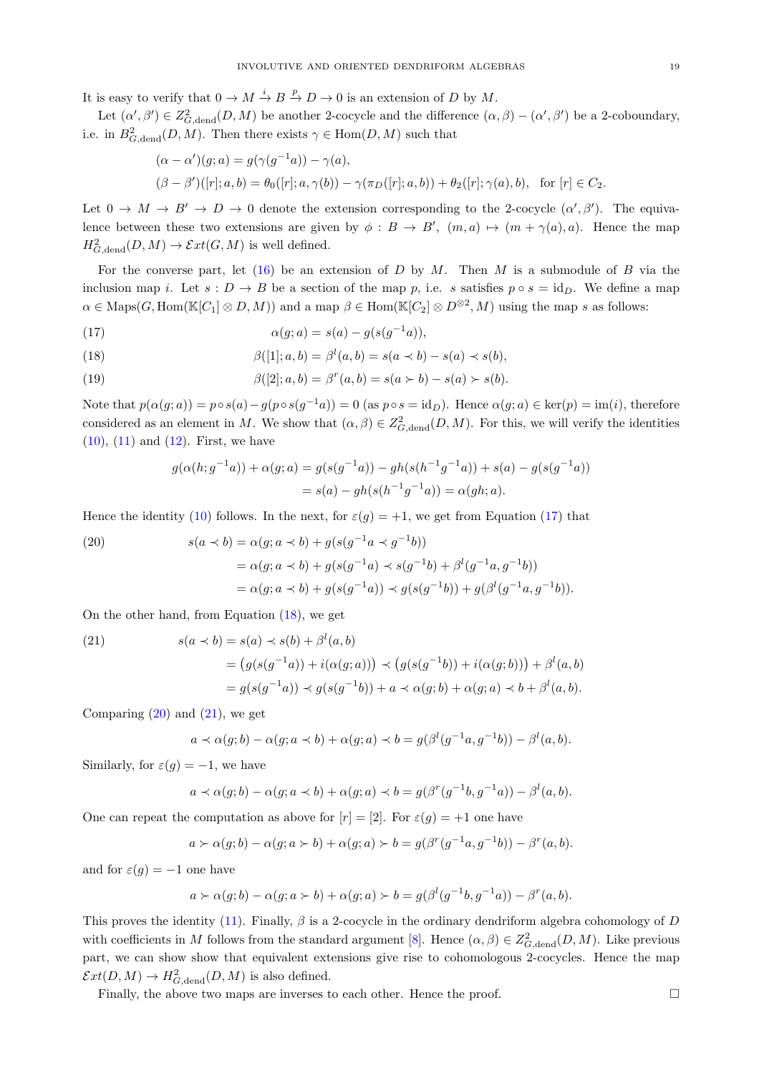It is easy to verify that  $0 \to M \stackrel{i}{\to} B \stackrel{p}{\to} D \to 0$  is an extension of D by M.

Let  $(\alpha', \beta') \in Z^2_{G,\text{dend}}(D, M)$  be another 2-cocycle and the difference  $(\alpha, \beta) - (\alpha', \beta')$  be a 2-coboundary, i.e. in  $B^2_{G,\text{dend}}(D,M)$ . Then there exists  $\gamma \in \text{Hom}(D,M)$  such that

$$
(\alpha - \alpha')(g; a) = g(\gamma(g^{-1}a)) - \gamma(a),
$$
  

$$
(\beta - \beta')([r]; a, b) = \theta_0([r]; a, \gamma(b)) - \gamma(\pi_D([r]; a, b)) + \theta_2([r]; \gamma(a), b), \text{ for } [r] \in C_2.
$$

Let  $0 \to M \to B' \to D \to 0$  denote the extension corresponding to the 2-cocycle  $(\alpha', \beta')$ . The equivalence between these two extensions are given by  $\phi : B \to B'$ ,  $(m, a) \mapsto (m + \gamma(a), a)$ . Hence the map  $H^2_{G,\text{dend}}(D,M) \to \mathcal{E}xt(G,M)$  is well defined.

For the converse part, let  $(16)$  be an extension of D by M. Then M is a submodule of B via the inclusion map i. Let  $s : D \to B$  be a section of the map p, i.e. s satisfies  $p \circ s = \mathrm{id}_D$ . We define a map  $\alpha \in \text{Maps}(G, \text{Hom}(\mathbb{K}[C_1] \otimes D, M))$  and a map  $\beta \in \text{Hom}(\mathbb{K}[C_2] \otimes D^{\otimes 2}, M)$  using the map s as follows:

<span id="page-18-0"></span>(17) 
$$
\alpha(g; a) = s(a) - g(s(g^{-1}a)),
$$

<span id="page-18-1"></span>(18) 
$$
\beta([1]; a, b) = \beta^{l}(a, b) = s(a \prec b) - s(a) \prec s(b),
$$

(19) 
$$
\beta([2]; a, b) = \beta^{r}(a, b) = s(a \succ b) - s(a) \succ s(b).
$$

Note that  $p(\alpha(g; a)) = p \circ s(a) - g(p \circ s(g^{-1}a)) = 0$  (as  $p \circ s = id_D$ ). Hence  $\alpha(g; a) \in \text{ker}(p) = \text{im}(i)$ , therefore considered as an element in M. We show that  $(\alpha, \beta) \in Z^2_{G,\text{dend}}(D, M)$ . For this, we will verify the identities  $(10)$ ,  $(11)$  and  $(12)$ . First, we have

$$
g(\alpha(h; g^{-1}a)) + \alpha(g; a) = g(s(g^{-1}a)) - gh(s(h^{-1}g^{-1}a)) + s(a) - g(s(g^{-1}a))
$$
  
=  $s(a) - gh(s(h^{-1}g^{-1}a)) = \alpha(gh; a).$ 

Hence the identity [\(10\)](#page-15-2) follows. In the next, for  $\varepsilon(g) = +1$ , we get from Equation [\(17\)](#page-18-0) that

<span id="page-18-2"></span>(20) 
$$
s(a \prec b) = \alpha(g; a \prec b) + g(s(g^{-1}a \prec g^{-1}b))
$$

$$
= \alpha(g; a \prec b) + g(s(g^{-1}a) \prec s(g^{-1}b) + \beta^l(g^{-1}a, g^{-1}b))
$$

$$
= \alpha(g; a \prec b) + g(s(g^{-1}a)) \prec g(s(g^{-1}b)) + g(\beta^l(g^{-1}a, g^{-1}b)).
$$

On the other hand, from Equation [\(18\)](#page-18-1), we get

<span id="page-18-3"></span>(21) 
$$
s(a \prec b) = s(a) \prec s(b) + \beta^{l}(a, b)
$$

$$
= (g(s(g^{-1}a)) + i(\alpha(g; a))) \prec (g(s(g^{-1}b)) + i(\alpha(g; b))) + \beta^{l}(a, b)
$$

$$
= g(s(g^{-1}a)) \prec g(s(g^{-1}b)) + a \prec \alpha(g; b) + \alpha(g; a) \prec b + \beta^{l}(a, b).
$$

Comparing  $(20)$  and  $(21)$ , we get

$$
a \prec \alpha(g;b) - \alpha(g;a \prec b) + \alpha(g;a) \prec b = g(\beta^l(g^{-1}a,g^{-1}b)) - \beta^l(a,b).
$$

Similarly, for  $\varepsilon(q) = -1$ , we have

$$
a \prec \alpha(g;b) - \alpha(g;a \prec b) + \alpha(g;a) \prec b = g(\beta^r(g^{-1}b,g^{-1}a)) - \beta^l(a,b).
$$

One can repeat the computation as above for  $[r] = [2]$ . For  $\varepsilon(g) = +1$  one have

$$
a \succ \alpha(g;b) - \alpha(g;a \succ b) + \alpha(g;a) \succ b = g(\beta^r(g^{-1}a,g^{-1}b)) - \beta^r(a,b).
$$

and for  $\varepsilon(g) = -1$  one have

$$
a \succ \alpha(g; b) - \alpha(g; a \succ b) + \alpha(g; a) \succ b = g(\beta^l(g^{-1}b, g^{-1}a)) - \beta^r(a, b).
$$

This proves the identity [\(11\)](#page-15-0). Finally,  $\beta$  is a 2-cocycle in the ordinary dendriform algebra cohomology of D with coefficients in M follows from the standard argument [\[8\]](#page-21-7). Hence  $(\alpha, \beta) \in Z_{G,\text{dend}}^2(D, M)$ . Like previous part, we can show show that equivalent extensions give rise to cohomologous 2-cocycles. Hence the map  $\mathcal{E}xt(D,M) \to H^2_{G,\text{dend}}(D,M)$  is also defined.

Finally, the above two maps are inverses to each other. Hence the proof.  $\Box$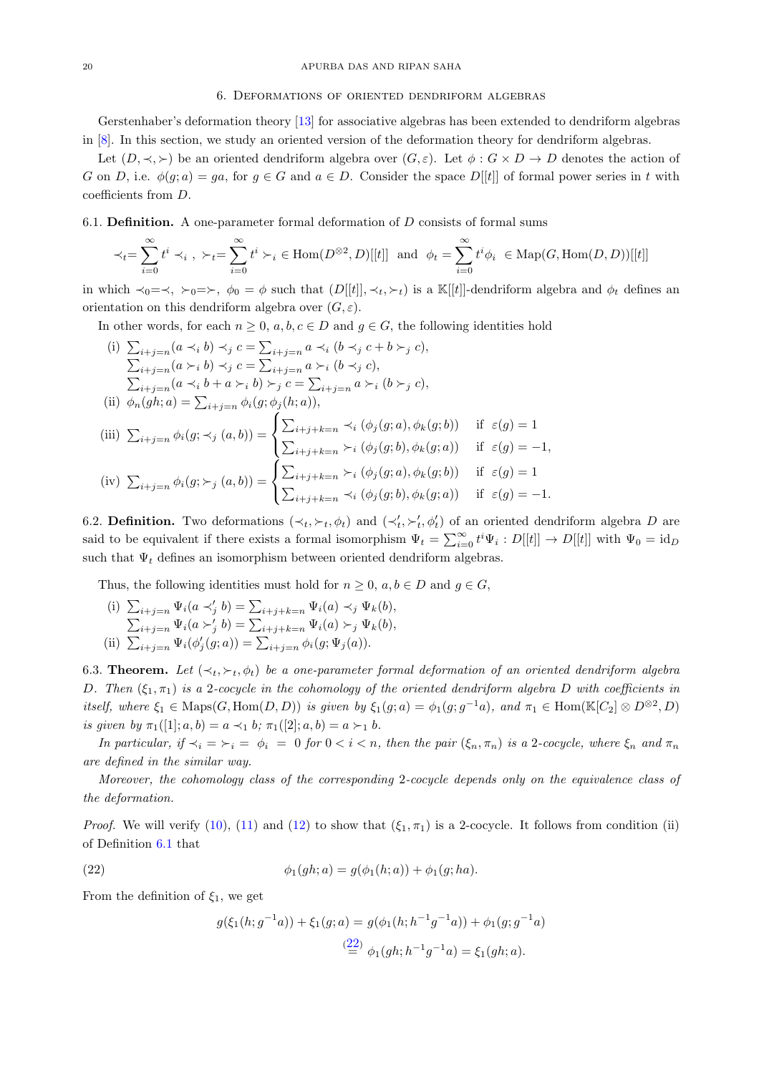### <span id="page-19-0"></span>20 APURBA DAS AND RIPAN SAHA

### 6. Deformations of oriented dendriform algebras

Gerstenhaber's deformation theory [\[13\]](#page-21-15) for associative algebras has been extended to dendriform algebras in [\[8\]](#page-21-7). In this section, we study an oriented version of the deformation theory for dendriform algebras.

Let  $(D, \prec, \succ)$  be an oriented dendriform algebra over  $(G, \varepsilon)$ . Let  $\phi : G \times D \to D$  denotes the action of G on D, i.e.  $\phi(q; a) = qa$ , for  $q \in G$  and  $a \in D$ . Consider the space D[[t]] of formal power series in t with coefficients from D.

## <span id="page-19-2"></span>6.1. **Definition.** A one-parameter formal deformation of  $D$  consists of formal sums

$$
\prec_t = \sum_{i=0}^{\infty} t^i \prec_i , \ \ \succ_t = \sum_{i=0}^{\infty} t^i \succ_i \ \in \text{Hom}(D^{\otimes 2}, D)[[t]] \ \ \text{and} \ \ \phi_t = \sum_{i=0}^{\infty} t^i \phi_i \ \in \text{Map}(G, \text{Hom}(D, D))[[t]]
$$

in which  $\prec_0=\prec, \succ_0=\succ, \phi_0=\phi$  such that  $(D[[t]], \prec_t, \succ_t)$  is a K[[t]]-dendriform algebra and  $\phi_t$  defines an orientation on this dendriform algebra over  $(G, \varepsilon)$ .

In other words, for each  $n \geq 0$ ,  $a, b, c \in D$  and  $g \in G$ , the following identities hold

(i) 
$$
\sum_{i+j=n} (a \prec_i b) \prec_j c = \sum_{i+j=n} a \prec_i (b \prec_j c + b \succ_j c),
$$

$$
\sum_{i+j=n} (a \succ_i b) \prec_j c = \sum_{i+j=n} a \succ_i (b \prec_j c),
$$

$$
\sum_{i+j=n} (a \prec_i b + a \succ_i b) \succ_j c = \sum_{i+j=n} a \succ_i (b \succ_j c),
$$
  
(ii) 
$$
\phi_n(gh;a) = \sum_{i+j=n} \phi_i(g;\phi_j(h;a)),
$$
  
(iii) 
$$
\sum_{i+j=n} \phi_i(g;\prec_j (a,b)) = \begin{cases} \sum_{i+j+k=n} \prec_i (\phi_j(g;a), \phi_k(g;b)) & \text{if } \varepsilon(g) = 1 \\ \sum_{i+j+k=n} \succ_i (\phi_j(g;b), \phi_k(g;a)) & \text{if } \varepsilon(g) = -1, \end{cases}
$$
  
(iv) 
$$
\sum_{i+j=n} \phi_i(g;\succ_j (a,b)) = \begin{cases} \sum_{i+j+k=n} \prec_i (\phi_j(g;a), \phi_k(g;b)) & \text{if } \varepsilon(g) = 1 \\ \sum_{i+j+k=n} \prec_i (\phi_j(g;b), \phi_k(g;a)) & \text{if } \varepsilon(g) = -1. \end{cases}
$$

<span id="page-19-4"></span>6.2. **Definition.** Two deformations  $(\prec_t, \succ_t, \phi_t)$  and  $(\prec'_t, \succ'_t, \phi'_t)$  of an oriented dendriform algebra D are said to be equivalent if there exists a formal isomorphism  $\Psi_t = \sum_{i=0}^{\infty} t^i \Psi_i : D[[t]] \to D[[t]]$  with  $\Psi_0 = id_D$ such that  $\Psi_t$  defines an isomorphism between oriented dendriform algebras.

Thus, the following identities must hold for  $n \geq 0$ ,  $a, b \in D$  and  $g \in G$ ,

(i)  $\sum_{i+j=n} \Psi_i(a \prec'_j b) = \sum_{i+j+k=n} \Psi_i(a) \prec_j \Psi_k(b)$ ,  $\sum_{i+j=n} \Psi_i(a \succ'_j b) = \sum_{i+j+k=n} \Psi_i(a) \succ_j \Psi_k(b),$ (ii)  $\sum_{i+j=n} \Psi_i(\phi'_j(g; a)) = \sum_{i+j=n} \phi_i(g; \Psi_j(a)).$ 

<span id="page-19-1"></span>6.3. **Theorem.** Let  $(\prec_t, \succ_t, \phi_t)$  be a one-parameter formal deformation of an oriented dendriform algebra D. Then  $(\xi_1, \pi_1)$  is a 2-cocycle in the cohomology of the oriented dendriform algebra D with coefficients in itself, where  $\xi_1 \in \text{Maps}(G, \text{Hom}(D, D))$  is given by  $\xi_1(g; a) = \phi_1(g; g^{-1}a)$ , and  $\pi_1 \in \text{Hom}(\mathbb{K}[C_2] \otimes D^{\otimes 2}, D)$ is given by  $\pi_1([1]; a, b) = a \prec_1 b; \pi_1([2]; a, b) = a \succ_1 b$ .

In particular, if  $\prec_i = \succ_i = \phi_i = 0$  for  $0 < i < n$ , then the pair  $(\xi_n, \pi_n)$  is a 2-cocycle, where  $\xi_n$  and  $\pi_n$ are defined in the similar way.

Moreover, the cohomology class of the corresponding 2-cocycle depends only on the equivalence class of the deformation.

*Proof.* We will verify [\(10\)](#page-15-2), [\(11\)](#page-15-0) and [\(12\)](#page-15-3) to show that  $(\xi_1, \pi_1)$  is a 2-cocycle. It follows from condition (ii) of Definition [6.1](#page-19-2) that

<span id="page-19-3"></span>(22) 
$$
\phi_1(gh; a) = g(\phi_1(h; a)) + \phi_1(g; ha).
$$

From the definition of  $\xi_1$ , we get

$$
g(\xi_1(h;g^{-1}a)) + \xi_1(g;a) = g(\phi_1(h;h^{-1}g^{-1}a)) + \phi_1(g;g^{-1}a)
$$
  

$$
\stackrel{(22)}{=} \phi_1(gh;h^{-1}g^{-1}a) = \xi_1(gh;a).
$$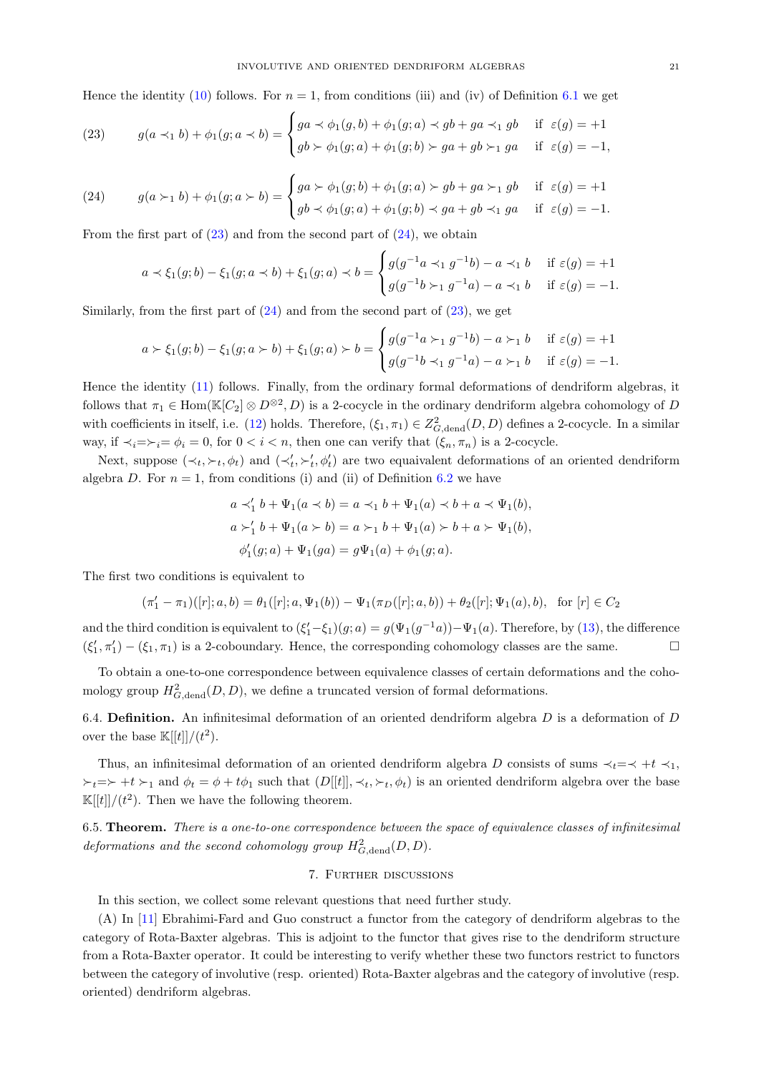Hence the identity [\(10\)](#page-15-2) follows. For  $n = 1$ , from conditions (iii) and (iv) of Definition [6.1](#page-19-2) we get

<span id="page-20-2"></span>(23) 
$$
g(a \prec_1 b) + \phi_1(g; a \prec b) = \begin{cases} ga \prec \phi_1(g, b) + \phi_1(g; a) \prec gb + ga \prec_1 gb & \text{if } \varepsilon(g) = +1 \\ gb \succ \phi_1(g; a) + \phi_1(g; b) \succ ga + gb \succ_1 ga & \text{if } \varepsilon(g) = -1, \end{cases}
$$

<span id="page-20-3"></span>(24) 
$$
g(a \succ_1 b) + \phi_1(g; a \succ b) = \begin{cases} ga \succ \phi_1(g; b) + \phi_1(g; a) \succ g b + ga \succ_1 gb & \text{if } \varepsilon(g) = +1 \\ gb \prec \phi_1(g; a) + \phi_1(g; b) \prec ga + gb \prec_1 ga & \text{if } \varepsilon(g) = -1. \end{cases}
$$

From the first part of  $(23)$  and from the second part of  $(24)$ , we obtain

$$
a \prec \xi_1(g;b) - \xi_1(g;a \prec b) + \xi_1(g;a) \prec b = \begin{cases} g(g^{-1}a \prec_1 g^{-1}b) - a \prec_1 b & \text{if } \varepsilon(g) = +1 \\ g(g^{-1}b \succ_1 g^{-1}a) - a \prec_1 b & \text{if } \varepsilon(g) = -1. \end{cases}
$$

Similarly, from the first part of  $(24)$  and from the second part of  $(23)$ , we get

$$
a \succ \xi_1(g;b) - \xi_1(g;a \succ b) + \xi_1(g;a) \succ b = \begin{cases} g(g^{-1}a \succ_1 g^{-1}b) - a \succ_1 b & \text{if } \varepsilon(g) = +1 \\ g(g^{-1}b \prec_1 g^{-1}a) - a \succ_1 b & \text{if } \varepsilon(g) = -1. \end{cases}
$$

Hence the identity [\(11\)](#page-15-0) follows. Finally, from the ordinary formal deformations of dendriform algebras, it follows that  $\pi_1 \in \text{Hom}(\mathbb{K}[C_2] \otimes D^{\otimes 2}, D)$  is a 2-cocycle in the ordinary dendriform algebra cohomology of D with coefficients in itself, i.e. [\(12\)](#page-15-3) holds. Therefore,  $(\xi_1, \pi_1) \in Z^2_{G,\text{dend}}(D, D)$  defines a 2-cocycle. In a similar way, if  $\prec_i = \succ_i = \phi_i = 0$ , for  $0 < i < n$ , then one can verify that  $(\xi_n, \pi_n)$  is a 2-cocycle.

Next, suppose  $(\prec_t, \succ_t, \phi_t)$  and  $(\prec'_t, \succ'_t, \phi'_t)$  are two equaivalent deformations of an oriented dendriform algebra D. For  $n = 1$ , from conditions (i) and (ii) of Definition [6.2](#page-19-4) we have

$$
a \prec'_1 b + \Psi_1(a \prec b) = a \prec_1 b + \Psi_1(a) \prec b + a \prec \Psi_1(b),
$$
  
\n
$$
a \succ'_1 b + \Psi_1(a \succ b) = a \succ_1 b + \Psi_1(a) \succ b + a \succ \Psi_1(b),
$$
  
\n
$$
\phi'_1(g; a) + \Psi_1(ga) = g\Psi_1(a) + \phi_1(g; a).
$$

The first two conditions is equivalent to

$$
(\pi'_1 - \pi_1)([r]; a, b) = \theta_1([r]; a, \Psi_1(b)) - \Psi_1(\pi_D([r]; a, b)) + \theta_2([r]; \Psi_1(a), b), \text{ for } [r] \in C_2
$$

and the third condition is equivalent to  $(\xi_1'-\xi_1)(g;a) = g(\Psi_1(g^{-1}a)) - \Psi_1(a)$ . Therefore, by [\(13\)](#page-15-4), the difference  $(\xi'_1, \pi'_1) - (\xi_1, \pi_1)$  is a 2-coboundary. Hence, the corresponding cohomology classes are the same.

To obtain a one-to-one correspondence between equivalence classes of certain deformations and the cohomology group  $H^2_{G,\text{dend}}(D, D)$ , we define a truncated version of formal deformations.

6.4. Definition. An infinitesimal deformation of an oriented dendriform algebra  $D$  is a deformation of  $D$ over the base  $\mathbb{K}[[t]]/ (t^2)$ .

Thus, an infinitesimal deformation of an oriented dendriform algebra D consists of sums  $\prec_t = \prec +t \prec_1$ ,  $\succ_t = \succ +t \succ_1$  and  $\phi_t = \phi + t\phi_1$  such that  $(D[[t]], \prec_t, \succ_t, \phi_t)$  is an oriented dendriform algebra over the base  $\mathbb{K}[[t]]/ (t^2)$ . Then we have the following theorem.

<span id="page-20-1"></span><span id="page-20-0"></span>6.5. Theorem. There is a one-to-one correspondence between the space of equivalence classes of infinitesimal deformations and the second cohomology group  $H^2_{G,\text{dend}}(D,D)$ .

# 7. Further discussions

In this section, we collect some relevant questions that need further study.

(A) In [\[11\]](#page-21-9) Ebrahimi-Fard and Guo construct a functor from the category of dendriform algebras to the category of Rota-Baxter algebras. This is adjoint to the functor that gives rise to the dendriform structure from a Rota-Baxter operator. It could be interesting to verify whether these two functors restrict to functors between the category of involutive (resp. oriented) Rota-Baxter algebras and the category of involutive (resp. oriented) dendriform algebras.